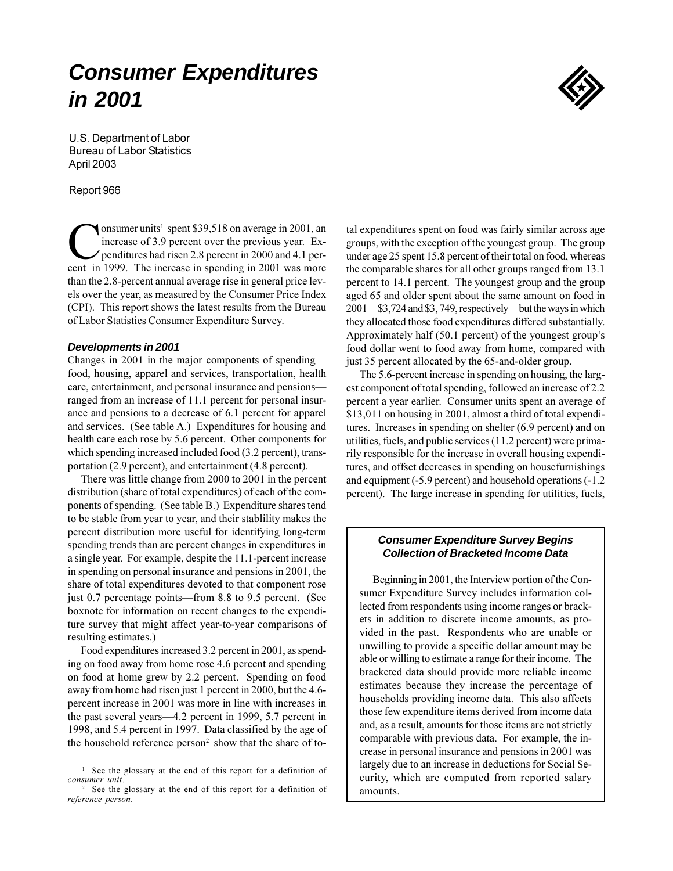# **Consumer Expenditures** in 2001



U.S. Department of Labor **Bureau of Labor Statistics** April 2003

#### Report 966

onsumer units<sup>1</sup> spent \$39,518 on average in 2001, an increase of 3.9 percent over the previous year. Expenditures had risen 2.8 percent in 2000 and 4.1 percent in 1999. The increase in spending in 2001 was more than the 2.8-percent annual average rise in general price levels over the year, as measured by the Consumer Price Index (CPI). This report shows the latest results from the Bureau of Labor Statistics Consumer Expenditure Survey.

#### **Developments in 2001**

Changes in 2001 in the major components of spending food, housing, apparel and services, transportation, health care, entertainment, and personal insurance and pensionsranged from an increase of 11.1 percent for personal insurance and pensions to a decrease of 6.1 percent for apparel and services. (See table A.) Expenditures for housing and health care each rose by 5.6 percent. Other components for which spending increased included food (3.2 percent), transportation (2.9 percent), and entertainment (4.8 percent).

There was little change from 2000 to 2001 in the percent distribution (share of total expenditures) of each of the components of spending. (See table B.) Expenditure shares tend to be stable from year to year, and their stablility makes the percent distribution more useful for identifying long-term spending trends than are percent changes in expenditures in a single year. For example, despite the 11.1-percent increase in spending on personal insurance and pensions in 2001, the share of total expenditures devoted to that component rose just 0.7 percentage points—from 8.8 to 9.5 percent. (See boxnote for information on recent changes to the expenditure survey that might affect year-to-year comparisons of resulting estimates.)

Food expenditures increased 3.2 percent in 2001, as spending on food away from home rose 4.6 percent and spending on food at home grew by 2.2 percent. Spending on food away from home had risen just 1 percent in 2000, but the 4.6percent increase in 2001 was more in line with increases in the past several years—4.2 percent in 1999, 5.7 percent in 1998, and 5.4 percent in 1997. Data classified by the age of the household reference person<sup>2</sup> show that the share of total expenditures spent on food was fairly similar across age groups, with the exception of the youngest group. The group under age 25 spent 15.8 percent of their total on food, whereas the comparable shares for all other groups ranged from 13.1 percent to 14.1 percent. The youngest group and the group aged 65 and older spent about the same amount on food in 2001—\$3,724 and \$3,749, respectively—but the ways in which they allocated those food expenditures differed substantially. Approximately half (50.1 percent) of the youngest group's food dollar went to food away from home, compared with just 35 percent allocated by the 65-and-older group.

The 5.6-percent increase in spending on housing, the largest component of total spending, followed an increase of 2.2 percent a year earlier. Consumer units spent an average of \$13,011 on housing in 2001, almost a third of total expenditures. Increases in spending on shelter  $(6.9$  percent) and on utilities, fuels, and public services (11.2 percent) were primarily responsible for the increase in overall housing expenditures, and offset decreases in spending on housefurnishings and equipment (-5.9 percent) and household operations (-1.2 percent). The large increase in spending for utilities, fuels,

#### **Consumer Expenditure Survey Begins Collection of Bracketed Income Data**

Beginning in 2001, the Interview portion of the Consumer Expenditure Survey includes information collected from respondents using income ranges or brackets in addition to discrete income amounts, as provided in the past. Respondents who are unable or unwilling to provide a specific dollar amount may be able or willing to estimate a range for their income. The bracketed data should provide more reliable income estimates because they increase the percentage of households providing income data. This also affects those few expenditure items derived from income data and, as a result, amounts for those items are not strictly comparable with previous data. For example, the increase in personal insurance and pensions in 2001 was largely due to an increase in deductions for Social Security, which are computed from reported salary amounts.

<sup>&</sup>lt;sup>1</sup> See the glossary at the end of this report for a definition of consumer unit.

<sup>&</sup>lt;sup>2</sup> See the glossary at the end of this report for a definition of reference person.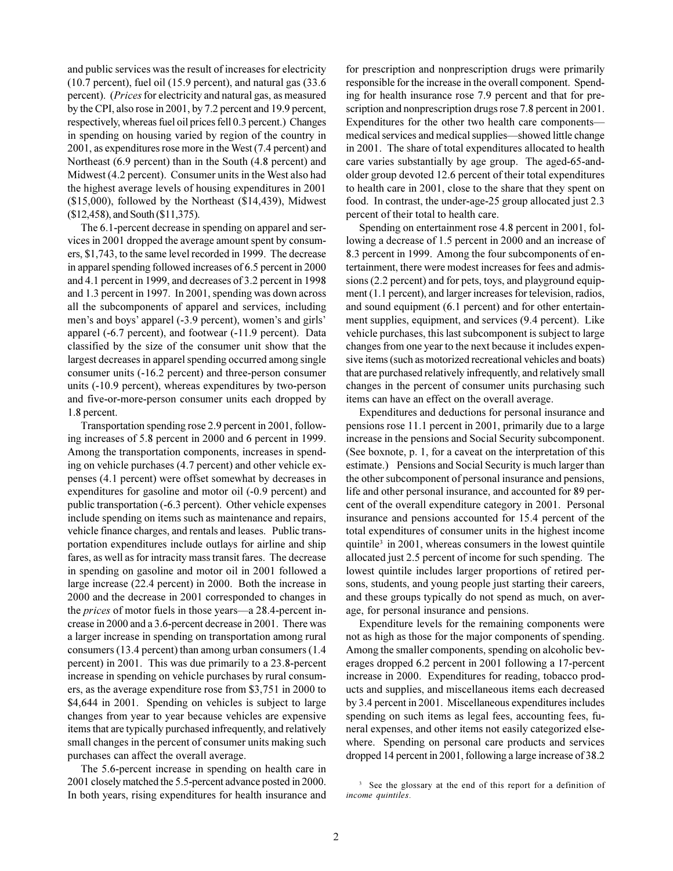and public services was the result of increases for electricity  $(10.7 \text{ percent})$ , fuel oil  $(15.9 \text{ percent})$ , and natural gas  $(33.6 \text{ m})$ percent). (Prices for electricity and natural gas, as measured by the CPI, also rose in 2001, by 7.2 percent and 19.9 percent, respectively, whereas fuel oil prices fell 0.3 percent.) Changes in spending on housing varied by region of the country in 2001, as expenditures rose more in the West (7.4 percent) and Northeast (6.9 percent) than in the South (4.8 percent) and Midwest (4.2 percent). Consumer units in the West also had the highest average levels of housing expenditures in 2001  $($15,000)$ , followed by the Northeast  $($14,439)$ , Midwest  $$12,458$ , and South  $$11,375$ ).

The 6.1-percent decrease in spending on apparel and services in 2001 dropped the average amount spent by consumers, \$1,743, to the same level recorded in 1999. The decrease in apparel spending followed increases of 6.5 percent in 2000 and 4.1 percent in 1999, and decreases of 3.2 percent in 1998 and 1.3 percent in 1997. In 2001, spending was down across all the subcomponents of apparel and services, including men's and boys' apparel (-3.9 percent), women's and girls' apparel (-6.7 percent), and footwear (-11.9 percent). Data classified by the size of the consumer unit show that the largest decreases in apparel spending occurred among single consumer units (-16.2 percent) and three-person consumer units (-10.9 percent), whereas expenditures by two-person and five-or-more-person consumer units each dropped by 1.8 percent.

Transportation spending rose 2.9 percent in 2001, following increases of 5.8 percent in 2000 and 6 percent in 1999. Among the transportation components, increases in spending on vehicle purchases (4.7 percent) and other vehicle expenses (4.1 percent) were offset somewhat by decreases in expenditures for gasoline and motor oil (-0.9 percent) and public transportation (-6.3 percent). Other vehicle expenses include spending on items such as maintenance and repairs, vehicle finance charges, and rentals and leases. Public transportation expenditures include outlays for airline and ship fares, as well as for intracity mass transit fares. The decrease in spending on gasoline and motor oil in 2001 followed a large increase (22.4 percent) in 2000. Both the increase in 2000 and the decrease in 2001 corresponded to changes in the *prices* of motor fuels in those years—a 28.4-percent increase in 2000 and a 3.6-percent decrease in 2001. There was a larger increase in spending on transportation among rural consumers (13.4 percent) than among urban consumers (1.4 percent) in 2001. This was due primarily to a 23.8-percent increase in spending on vehicle purchases by rural consumers, as the average expenditure rose from \$3,751 in 2000 to \$4,644 in 2001. Spending on vehicles is subject to large changes from year to year because vehicles are expensive items that are typically purchased infrequently, and relatively small changes in the percent of consumer units making such purchases can affect the overall average.

The 5.6-percent increase in spending on health care in 2001 closely matched the 5.5-percent advance posted in 2000. In both years, rising expenditures for health insurance and for prescription and nonprescription drugs were primarily responsible for the increase in the overall component. Spending for health insurance rose 7.9 percent and that for prescription and nonprescription drugs rose 7.8 percent in 2001. Expenditures for the other two health care componentsmedical services and medical supplies—showed little change in 2001. The share of total expenditures allocated to health care varies substantially by age group. The aged-65-andolder group devoted 12.6 percent of their total expenditures to health care in 2001, close to the share that they spent on food. In contrast, the under-age-25 group allocated just 2.3 percent of their total to health care.

Spending on entertainment rose 4.8 percent in 2001, following a decrease of 1.5 percent in 2000 and an increase of 8.3 percent in 1999. Among the four subcomponents of entertainment, there were modest increases for fees and admissions (2.2 percent) and for pets, toys, and playground equipment (1.1 percent), and larger increases for television, radios, and sound equipment (6.1 percent) and for other entertainment supplies, equipment, and services (9.4 percent). Like vehicle purchases, this last subcomponent is subject to large changes from one year to the next because it includes expensive items (such as motorized recreational vehicles and boats) that are purchased relatively infrequently, and relatively small changes in the percent of consumer units purchasing such items can have an effect on the overall average.

Expenditures and deductions for personal insurance and pensions rose 11.1 percent in 2001, primarily due to a large increase in the pensions and Social Security subcomponent. (See boxnote, p. 1, for a caveat on the interpretation of this estimate.) Pensions and Social Security is much larger than the other subcomponent of personal insurance and pensions, life and other personal insurance, and accounted for 89 percent of the overall expenditure category in 2001. Personal insurance and pensions accounted for 15.4 percent of the total expenditures of consumer units in the highest income quintile<sup>3</sup> in 2001, whereas consumers in the lowest quintile allocated just 2.5 percent of income for such spending. The lowest quintile includes larger proportions of retired persons, students, and young people just starting their careers, and these groups typically do not spend as much, on average, for personal insurance and pensions.

Expenditure levels for the remaining components were not as high as those for the major components of spending. Among the smaller components, spending on alcoholic beverages dropped 6.2 percent in 2001 following a 17-percent increase in 2000. Expenditures for reading, tobacco products and supplies, and miscellaneous items each decreased by 3.4 percent in 2001. Miscellaneous expenditures includes spending on such items as legal fees, accounting fees, funeral expenses, and other items not easily categorized elsewhere. Spending on personal care products and services dropped 14 percent in 2001, following a large increase of 38.2

<sup>&</sup>lt;sup>3</sup> See the glossary at the end of this report for a definition of income quintiles.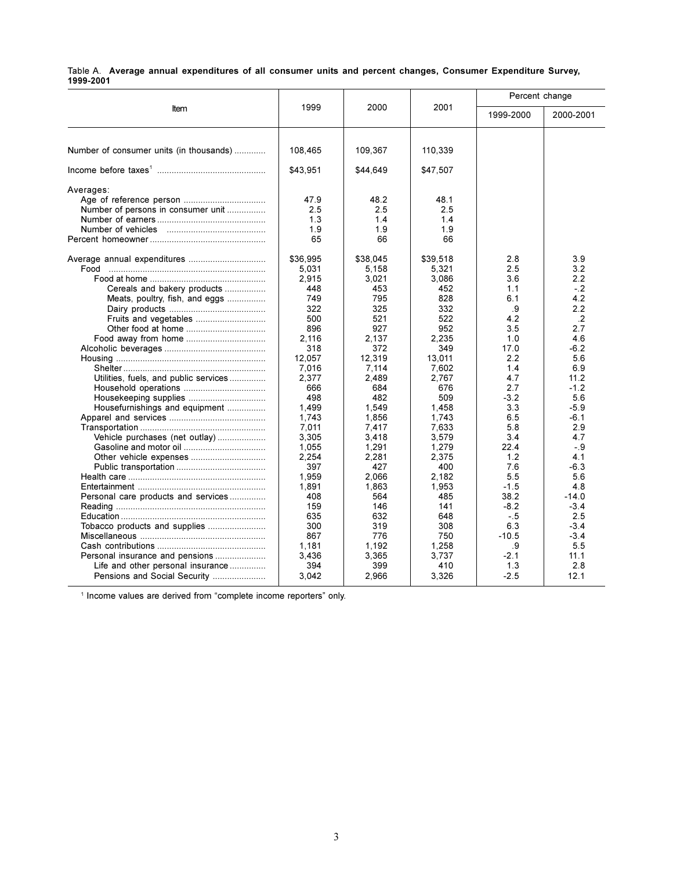|           | Table A. Average annual expenditures of all consumer units and percent changes, Consumer Expenditure Survey, |  |  |  |  |  |
|-----------|--------------------------------------------------------------------------------------------------------------|--|--|--|--|--|
| 1999-2001 |                                                                                                              |  |  |  |  |  |

|                                         |          |          |          | Percent change |           |
|-----------------------------------------|----------|----------|----------|----------------|-----------|
| Item                                    | 1999     | 2000     | 2001     | 1999-2000      | 2000-2001 |
| Number of consumer units (in thousands) | 108,465  | 109,367  | 110,339  |                |           |
|                                         | \$43,951 | \$44,649 | \$47,507 |                |           |
| Averages:                               |          |          |          |                |           |
|                                         | 47.9     | 48.2     | 48.1     |                |           |
| Number of persons in consumer unit      | 2.5      | 2.5      | 2.5      |                |           |
|                                         | 1.3      | 1.4      | 1.4      |                |           |
|                                         | 1.9      | 1.9      | 1.9      |                |           |
|                                         | 65       | 66       | 66       |                |           |
|                                         | \$36,995 | \$38,045 | \$39,518 | 2.8            | 3.9       |
| Food                                    | 5,031    | 5,158    | 5,321    | 2.5            | 3.2       |
|                                         | 2,915    | 3.021    | 3.086    | 3.6            | 2.2       |
| Cereals and bakery products             | 448      | 453      | 452      | 1.1            | $-2$      |
| Meats, poultry, fish, and eggs          | 749      | 795      | 828      | 6.1            | 4.2       |
|                                         | 322      | 325      | 332      | .9             | 2.2       |
|                                         | 500      | 521      | 522      | 4.2            | $\cdot$   |
|                                         | 896      | 927      | 952      | 3.5            | 2.7       |
| Food away from home                     | 2,116    | 2,137    | 2.235    | 1.0            | 4.6       |
|                                         | 318      | 372      | 349      | 17.0           | $-6.2$    |
|                                         | 12,057   | 12,319   | 13.011   | 2.2            | 5.6       |
|                                         | 7.016    | 7.114    | 7.602    | 1.4            | 6.9       |
| Utilities, fuels, and public services   | 2.377    | 2.489    | 2.767    | 4.7            | 11.2      |
|                                         | 666      | 684      | 676      | 2.7            | $-1.2$    |
|                                         | 498      | 482      | 509      | $-3.2$         | 5.6       |
| Housefurnishings and equipment          | 1,499    | 1,549    | 1,458    | 3.3            | $-5.9$    |
|                                         | 1.743    | 1,856    | 1,743    | 6.5            | $-6.1$    |
|                                         | 7,011    | 7,417    | 7,633    | 5.8            | 2.9       |
| Vehicle purchases (net outlay)          | 3,305    | 3,418    | 3,579    | 3.4            | 4.7       |
|                                         | 1,055    | 1,291    | 1,279    | 22.4           | -.9       |
|                                         | 2,254    | 2,281    | 2,375    | 1.2            | 4.1       |
|                                         | 397      | 427      | 400      | 7.6            | $-6.3$    |
|                                         | 1.959    | 2.066    | 2.182    | 5.5            | 5.6       |
|                                         | 1,891    | 1,863    | 1,953    | $-1.5$         | 4.8       |
| Personal care products and services     | 408      | 564      | 485      | 38.2           | $-14.0$   |
|                                         | 159      | 146      | 141      | $-8.2$         | $-3.4$    |
|                                         | 635      | 632      | 648      | $-.5$          | 2.5       |
| Tobacco products and supplies           | 300      | 319      | 308      | 6.3            | $-3.4$    |
|                                         | 867      | 776      | 750      | $-10.5$        | $-3.4$    |
|                                         | 1,181    | 1,192    | 1,258    | .9             | 5.5       |
| Personal insurance and pensions         | 3,436    | 3,365    | 3,737    | $-2.1$         | 11.1      |
| Life and other personal insurance       | 394      | 399      | 410      | 1.3            | 2.8       |
| Pensions and Social Security            | 3,042    | 2,966    | 3,326    | $-2.5$         | 12.1      |
|                                         |          |          |          |                |           |

<sup>1</sup> Income values are derived from "complete income reporters" only.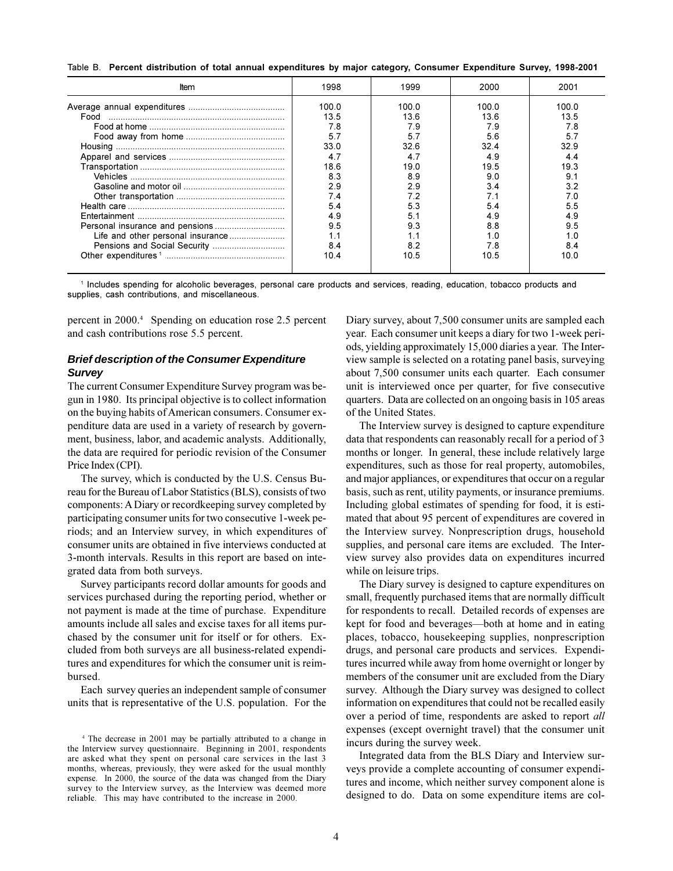Table B. Percent distribution of total annual expenditures by major category, Consumer Expenditure Survey, 1998-2001

| Item | 1998  | 1999  | 2000  | 2001  |
|------|-------|-------|-------|-------|
|      | 100 O | 100 0 | 100 0 | 100.0 |
| Food | 13.5  | 13 6  | 13.6  | 13.5  |
|      | 7.8   | 7.9   | 7.9   | 78    |
|      | 5.7   | 57    | 5.6   | 57    |
|      | 33.0  | 32.6  | 32.4  | 32.9  |
|      | 4.7   | 47    |       | 4.4   |
|      | 186   | 19 በ  | 195   | 19.3  |
|      | 8.3   | 89    | 9.0   | ۰ ۹   |
|      | 2.9   | 29    | 34    | 39    |
|      | 7.4   |       |       |       |
|      | 54    | 53    | 54    |       |
|      | 49    |       |       |       |
|      | 9.5   | 9.3   | 8.8   | 9.5   |
|      | 1.1   |       |       |       |
|      | 8.4   |       | 78    | 8.4   |
|      | 10.4  | 10.5  | 10.5  | 10.0  |

1 Includes spending for alcoholic beverages, personal care products and services, reading, education, tobacco products and supplies, cash contributions, and miscellaneous.

percent in 2000.<sup>4</sup> Spending on education rose 2.5 percent and cash contributions rose 5.5 percent.

# **Brief description of the Consumer Expenditure Survey**

The current Consumer Expenditure Survey program was begun in 1980. Its principal objective is to collect information on the buying habits of American consumers. Consumer expenditure data are used in a variety of research by government, business, labor, and academic analysts. Additionally, the data are required for periodic revision of the Consumer Price Index (CPI).

The survey, which is conducted by the U.S. Census Bureau for the Bureau of Labor Statistics (BLS), consists of two components: A Diary or record keeping survey completed by participating consumer units for two consecutive 1-week periods; and an Interview survey, in which expenditures of consumer units are obtained in five interviews conducted at 3-month intervals. Results in this report are based on integrated data from both surveys.

Survey participants record dollar amounts for goods and services purchased during the reporting period, whether or not payment is made at the time of purchase. Expenditure amounts include all sales and excise taxes for all items purchased by the consumer unit for itself or for others. Excluded from both surveys are all business-related expenditures and expenditures for which the consumer unit is reimbursed.

Each survey queries an independent sample of consumer units that is representative of the U.S. population. For the Diary survey, about 7,500 consumer units are sampled each year. Each consumer unit keeps a diary for two 1-week periods, yielding approximately 15,000 diaries a year. The Interview sample is selected on a rotating panel basis, surveying about 7,500 consumer units each quarter. Each consumer unit is interviewed once per quarter, for five consecutive quarters. Data are collected on an ongoing basis in 105 areas of the United States.

The Interview survey is designed to capture expenditure data that respondents can reasonably recall for a period of 3 months or longer. In general, these include relatively large expenditures, such as those for real property, automobiles, and major appliances, or expenditures that occur on a regular basis, such as rent, utility payments, or insurance premiums. Including global estimates of spending for food, it is estimated that about 95 percent of expenditures are covered in the Interview survey. Nonprescription drugs, household supplies, and personal care items are excluded. The Interview survey also provides data on expenditures incurred while on leisure trips.

The Diary survey is designed to capture expenditures on small, frequently purchased items that are normally difficult for respondents to recall. Detailed records of expenses are kept for food and beverages—both at home and in eating places, tobacco, housekeeping supplies, nonprescription drugs, and personal care products and services. Expenditures incurred while away from home overnight or longer by members of the consumer unit are excluded from the Diary survey. Although the Diary survey was designed to collect information on expenditures that could not be recalled easily over a period of time, respondents are asked to report *all* expenses (except overnight travel) that the consumer unit incurs during the survey week.

Integrated data from the BLS Diary and Interview surveys provide a complete accounting of consumer expenditures and income, which neither survey component alone is designed to do. Data on some expenditure items are col-

<sup>&</sup>lt;sup>4</sup> The decrease in 2001 may be partially attributed to a change in the Interview survey questionnaire. Beginning in 2001, respondents are asked what they spent on personal care services in the last 3 months, whereas, previously, they were asked for the usual monthly expense. In 2000, the source of the data was changed from the Diary survey to the Interview survey, as the Interview was deemed more reliable. This may have contributed to the increase in 2000.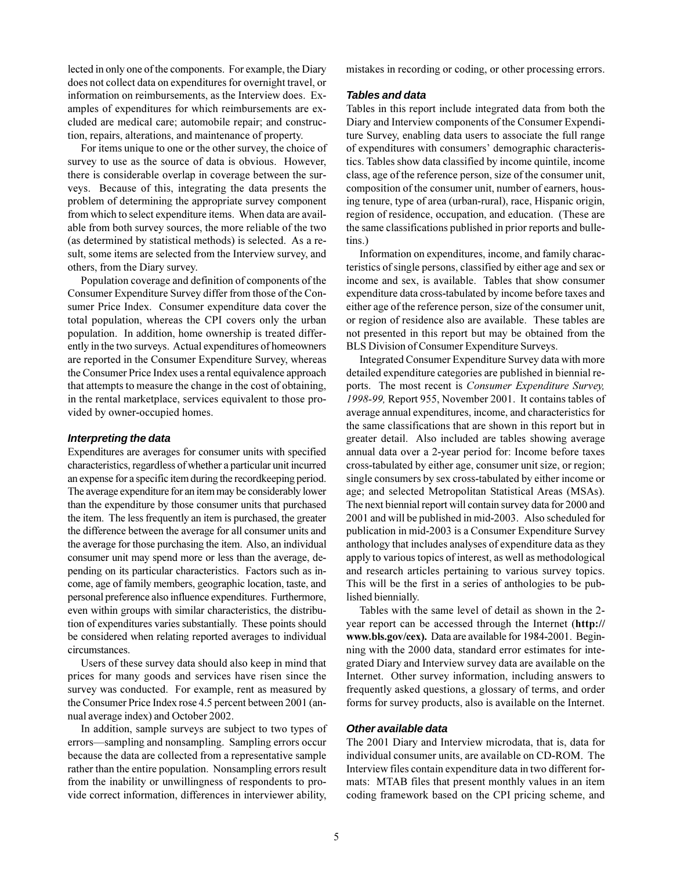lected in only one of the components. For example, the Diary does not collect data on expenditures for overnight travel, or information on reimbursements, as the Interview does. Examples of expenditures for which reimbursements are excluded are medical care; automobile repair; and construction, repairs, alterations, and maintenance of property.

For items unique to one or the other survey, the choice of survey to use as the source of data is obvious. However, there is considerable overlap in coverage between the surveys. Because of this, integrating the data presents the problem of determining the appropriate survey component from which to select expenditure items. When data are available from both survey sources, the more reliable of the two (as determined by statistical methods) is selected. As a result, some items are selected from the Interview survey, and others, from the Diary survey.

Population coverage and definition of components of the Consumer Expenditure Survey differ from those of the Consumer Price Index. Consumer expenditure data cover the total population, whereas the CPI covers only the urban population. In addition, home ownership is treated differently in the two surveys. Actual expenditures of homeowners are reported in the Consumer Expenditure Survey, whereas the Consumer Price Index uses a rental equivalence approach that attempts to measure the change in the cost of obtaining, in the rental marketplace, services equivalent to those provided by owner-occupied homes.

#### Interpreting the data

Expenditures are averages for consumer units with specified characteristics, regardless of whether a particular unit incurred an expense for a specific item during the recordkeeping period. The average expenditure for an item may be considerably lower than the expenditure by those consumer units that purchased the item. The less frequently an item is purchased, the greater the difference between the average for all consumer units and the average for those purchasing the item. Also, an individual consumer unit may spend more or less than the average, depending on its particular characteristics. Factors such as income, age of family members, geographic location, taste, and personal preference also influence expenditures. Furthermore, even within groups with similar characteristics, the distribution of expenditures varies substantially. These points should be considered when relating reported averages to individual circumstances.

Users of these survey data should also keep in mind that prices for many goods and services have risen since the survey was conducted. For example, rent as measured by the Consumer Price Index rose 4.5 percent between 2001 (annual average index) and October 2002.

In addition, sample surveys are subject to two types of errors—sampling and nonsampling. Sampling errors occur because the data are collected from a representative sample rather than the entire population. Nonsampling errors result from the inability or unwillingness of respondents to provide correct information, differences in interviewer ability,

mistakes in recording or coding, or other processing errors.

# **Tables and data**

Tables in this report include integrated data from both the Diary and Interview components of the Consumer Expenditure Survey, enabling data users to associate the full range of expenditures with consumers' demographic characteristics. Tables show data classified by income quintile, income class, age of the reference person, size of the consumer unit, composition of the consumer unit, number of earners, housing tenure, type of area (urban-rural), race, Hispanic origin, region of residence, occupation, and education. (These are the same classifications published in prior reports and bulletins.)

Information on expenditures, income, and family characteristics of single persons, classified by either age and sex or income and sex, is available. Tables that show consumer expenditure data cross-tabulated by income before taxes and either age of the reference person, size of the consumer unit, or region of residence also are available. These tables are not presented in this report but may be obtained from the BLS Division of Consumer Expenditure Surveys.

Integrated Consumer Expenditure Survey data with more detailed expenditure categories are published in biennial reports. The most recent is Consumer Expenditure Survey, 1998-99, Report 955, November 2001. It contains tables of average annual expenditures, income, and characteristics for the same classifications that are shown in this report but in greater detail. Also included are tables showing average annual data over a 2-year period for: Income before taxes cross-tabulated by either age, consumer unit size, or region; single consumers by sex cross-tabulated by either income or age; and selected Metropolitan Statistical Areas (MSAs). The next biennial report will contain survey data for 2000 and 2001 and will be published in mid-2003. Also scheduled for publication in mid-2003 is a Consumer Expenditure Survey anthology that includes analyses of expenditure data as they apply to various topics of interest, as well as methodological and research articles pertaining to various survey topics. This will be the first in a series of anthologies to be published biennially.

Tables with the same level of detail as shown in the 2year report can be accessed through the Internet (http:// www.bls.gov/cex). Data are available for 1984-2001. Beginning with the 2000 data, standard error estimates for integrated Diary and Interview survey data are available on the Internet. Other survey information, including answers to frequently asked questions, a glossary of terms, and order forms for survey products, also is available on the Internet.

# Other available data

The 2001 Diary and Interview microdata, that is, data for individual consumer units, are available on CD-ROM. The Interview files contain expenditure data in two different formats: MTAB files that present monthly values in an item coding framework based on the CPI pricing scheme, and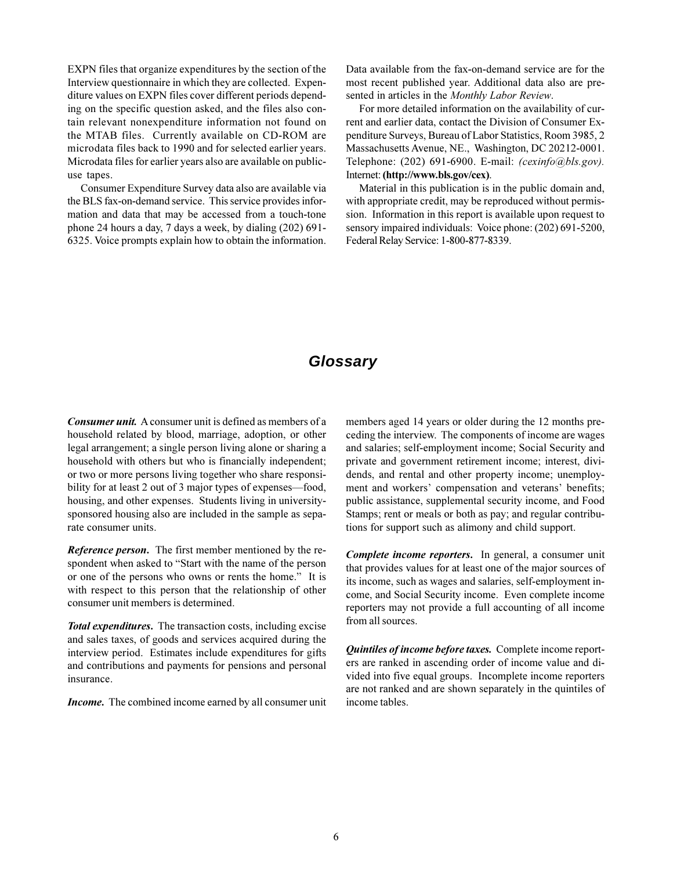EXPN files that organize expenditures by the section of the Interview questionnaire in which they are collected. Expenditure values on EXPN files cover different periods depending on the specific question asked, and the files also contain relevant nonexpenditure information not found on the MTAB files. Currently available on CD-ROM are microdata files back to 1990 and for selected earlier years. Microdata files for earlier years also are available on publicuse tapes.

Consumer Expenditure Survey data also are available via the BLS fax-on-demand service. This service provides information and data that may be accessed from a touch-tone phone 24 hours a day, 7 days a week, by dialing (202) 691-6325. Voice prompts explain how to obtain the information. Data available from the fax-on-demand service are for the most recent published year. Additional data also are presented in articles in the Monthly Labor Review.

For more detailed information on the availability of current and earlier data, contact the Division of Consumer Expenditure Surveys, Bureau of Labor Statistics, Room 3985, 2 Massachusetts Avenue, NE., Washington, DC 20212-0001. Telephone: (202) 691-6900. E-mail: (cexinfo@bls.gov). Internet: (http://www.bls.gov/cex).

Material in this publication is in the public domain and, with appropriate credit, may be reproduced without permission. Information in this report is available upon request to sensory impaired individuals: Voice phone: (202) 691-5200, Federal Relay Service: 1-800-877-8339.

# Glossary

Consumer unit. A consumer unit is defined as members of a household related by blood, marriage, adoption, or other legal arrangement; a single person living alone or sharing a household with others but who is financially independent; or two or more persons living together who share responsibility for at least 2 out of 3 major types of expenses—food, housing, and other expenses. Students living in universitysponsored housing also are included in the sample as separate consumer units.

Reference person. The first member mentioned by the respondent when asked to "Start with the name of the person or one of the persons who owns or rents the home." It is with respect to this person that the relationship of other consumer unit members is determined.

**Total expenditures.** The transaction costs, including excise and sales taxes, of goods and services acquired during the interview period. Estimates include expenditures for gifts and contributions and payments for pensions and personal insurance.

**Income.** The combined income earned by all consumer unit

members aged 14 years or older during the 12 months preceding the interview. The components of income are wages and salaries; self-employment income; Social Security and private and government retirement income; interest, dividends, and rental and other property income; unemployment and workers' compensation and veterans' benefits; public assistance, supplemental security income, and Food Stamps; rent or meals or both as pay; and regular contributions for support such as alimony and child support.

Complete income reporters. In general, a consumer unit that provides values for at least one of the major sources of its income, such as wages and salaries, self-employment income, and Social Security income. Even complete income reporters may not provide a full accounting of all income from all sources.

*Quintiles of income before taxes.* Complete income reporters are ranked in ascending order of income value and divided into five equal groups. Incomplete income reporters are not ranked and are shown separately in the quintiles of income tables.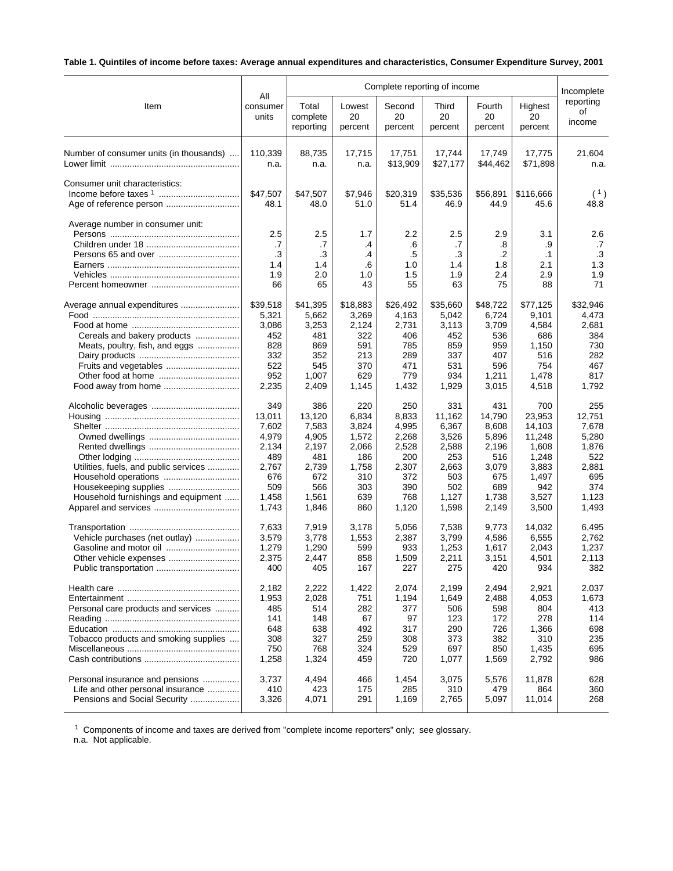# **Table 1. Quintiles of income before taxes: Average annual expenditures and characteristics, Consumer Expenditure Survey, 2001**

|                                         |                                     |                                     |                                    | Complete reporting of income            |                                     |                                          |                                            | Incomplete                          |
|-----------------------------------------|-------------------------------------|-------------------------------------|------------------------------------|-----------------------------------------|-------------------------------------|------------------------------------------|--------------------------------------------|-------------------------------------|
| Item                                    | All                                 | Total                               | Lowest                             | Second                                  | Third                               | Fourth                                   | Highest                                    | reporting                           |
|                                         | consumer                            | complete                            | 20                                 | 20                                      | 20                                  | 20                                       | 20                                         | οf                                  |
|                                         | units                               | reporting                           | percent                            | percent                                 | percent                             | percent                                  | percent                                    | income                              |
| Number of consumer units (in thousands) | 110.339                             | 88,735                              | 17,715                             | 17,751                                  | 17,744                              | 17,749                                   | 17,775                                     | 21,604                              |
|                                         | n.a.                                | n.a.                                | n.a.                               | \$13,909                                | \$27,177                            | \$44,462                                 | \$71,898                                   | n.a.                                |
| Consumer unit characteristics:          | \$47,507<br>48.1                    | \$47,507<br>48.0                    | \$7,946<br>51.0                    | \$20,319<br>51.4                        | \$35,536<br>46.9                    | \$56,891<br>44.9                         | \$116,666<br>45.6                          | (1)<br>48.8                         |
| Average number in consumer unit:        | 2.5<br>.7<br>.3<br>1.4<br>1.9<br>66 | 2.5<br>.7<br>.3<br>1.4<br>2.0<br>65 | 1.7<br>.4<br>.4<br>.6<br>1.0<br>43 | 2.2<br>.6<br>$.5\,$<br>1.0<br>1.5<br>55 | 2.5<br>.7<br>.3<br>1.4<br>1.9<br>63 | 2.9<br>.8<br>$\cdot$<br>1.8<br>2.4<br>75 | 3.1<br>.9<br>$\cdot$ 1<br>2.1<br>2.9<br>88 | 2.6<br>.7<br>.3<br>1.3<br>1.9<br>71 |
|                                         | \$39,518                            | \$41,395                            | \$18,883                           | \$26,492                                | \$35,660                            | \$48,722                                 | \$77,125                                   | \$32,946                            |
|                                         | 5,321                               | 5,662                               | 3,269                              | 4,163                                   | 5,042                               | 6,724                                    | 9,101                                      | 4,473                               |
|                                         | 3,086                               | 3,253                               | 2,124                              | 2,731                                   | 3,113                               | 3,709                                    | 4,584                                      | 2,681                               |
| Cereals and bakery products             | 452                                 | 481                                 | 322                                | 406                                     | 452                                 | 536                                      | 686                                        | 384                                 |
| Meats, poultry, fish, and eggs          | 828                                 | 869                                 | 591                                | 785                                     | 859                                 | 959                                      | 1,150                                      | 730                                 |
|                                         | 332                                 | 352                                 | 213                                | 289                                     | 337                                 | 407                                      | 516                                        | 282                                 |
|                                         | 522                                 | 545                                 | 370                                | 471                                     | 531                                 | 596                                      | 754                                        | 467                                 |
|                                         | 952                                 | 1,007                               | 629                                | 779                                     | 934                                 | 1,211                                    | 1,478                                      | 817                                 |
| Food away from home                     | 2,235                               | 2,409                               | 1,145                              | 1,432                                   | 1,929                               | 3,015                                    | 4,518                                      | 1,792                               |
|                                         | 349                                 | 386                                 | 220                                | 250                                     | 331                                 | 431                                      | 700                                        | 255                                 |
|                                         | 13,011                              | 13,120                              | 6,834                              | 8,833                                   | 11,162                              | 14,790                                   | 23,953                                     | 12,751                              |
|                                         | 7,602                               | 7,583                               | 3,824                              | 4,995                                   | 6,367                               | 8,608                                    | 14,103                                     | 7,678                               |
|                                         | 4,979                               | 4,905                               | 1,572                              | 2,268                                   | 3,526                               | 5,896                                    | 11,248                                     | 5,280                               |
|                                         | 2,134                               | 2,197                               | 2,066                              | 2,528                                   | 2,588                               | 2,196                                    | 1,608                                      | 1,876                               |
|                                         | 489                                 | 481                                 | 186                                | 200                                     | 253                                 | 516                                      | 1,248                                      | 522                                 |
| Utilities, fuels, and public services   | 2,767                               | 2,739                               | 1,758                              | 2,307                                   | 2,663                               | 3,079                                    | 3,883                                      | 2,881                               |
| Household operations                    | 676                                 | 672                                 | 310                                | 372                                     | 503                                 | 675                                      | 1,497                                      | 695                                 |
| Housekeeping supplies                   | 509                                 | 566                                 | 303                                | 390                                     | 502                                 | 689                                      | 942                                        | 374                                 |
| Household furnishings and equipment     | 1,458                               | 1,561                               | 639                                | 768                                     | 1,127                               | 1,738                                    | 3,527                                      | 1,123                               |
|                                         | 1,743                               | 1,846                               | 860                                | 1,120                                   | 1,598                               | 2,149                                    | 3,500                                      | 1,493                               |
|                                         | 7,633                               | 7,919                               | 3,178                              | 5,056                                   | 7,538                               | 9,773                                    | 14,032                                     | 6,495                               |
| Vehicle purchases (net outlay)          | 3,579                               | 3,778                               | 1,553                              | 2,387                                   | 3,799                               | 4,586                                    | 6,555                                      | 2,762                               |
|                                         | 1,279                               | 1,290                               | 599                                | 933                                     | 1,253                               | 1,617                                    | 2,043                                      | 1,237                               |
| Other vehicle expenses                  | 2,375                               | 2,447                               | 858                                | 1,509                                   | 2,211                               | 3,151                                    | 4,501                                      | 2,113                               |
|                                         | 400                                 | 405                                 | 167                                | 227                                     | 275                                 | 420                                      | 934                                        | 382                                 |
|                                         | 2,182                               | 2,222                               | 1,422                              | 2,074                                   | 2,199                               | 2,494                                    | 2,921                                      | 2,037                               |
|                                         | 1,953                               | 2,028                               | 751                                | 1,194                                   | 1,649                               | 2,488                                    | 4,053                                      | 1,673                               |
| Personal care products and services     | 485                                 | 514                                 | 282                                | 377                                     | 506                                 | 598                                      | 804                                        | 413                                 |
|                                         | 141                                 | 148                                 | 67                                 | 97                                      | 123                                 | 172                                      | 278                                        | 114                                 |
|                                         | 648                                 | 638                                 | 492                                | 317                                     | 290                                 | 726                                      | 1,366                                      | 698                                 |
| Tobacco products and smoking supplies   | 308                                 | 327                                 | 259                                | 308                                     | 373                                 | 382                                      | 310                                        | 235                                 |
|                                         | 750                                 | 768                                 | 324                                | 529                                     | 697                                 | 850                                      | 1,435                                      | 695                                 |
|                                         | 1,258                               | 1,324                               | 459                                | 720                                     | 1,077                               | 1,569                                    | 2,792                                      | 986                                 |
| Personal insurance and pensions         | 3,737                               | 4,494                               | 466                                | 1,454                                   | 3,075                               | 5,576                                    | 11,878                                     | 628                                 |
| Life and other personal insurance       | 410                                 | 423                                 | 175                                | 285                                     | 310                                 | 479                                      | 864                                        | 360                                 |
| Pensions and Social Security            | 3,326                               | 4,071                               | 291                                | 1,169                                   | 2,765                               | 5,097                                    | 11,014                                     | 268                                 |

<sup>1</sup> Components of income and taxes are derived from "complete income reporters" only; see glossary.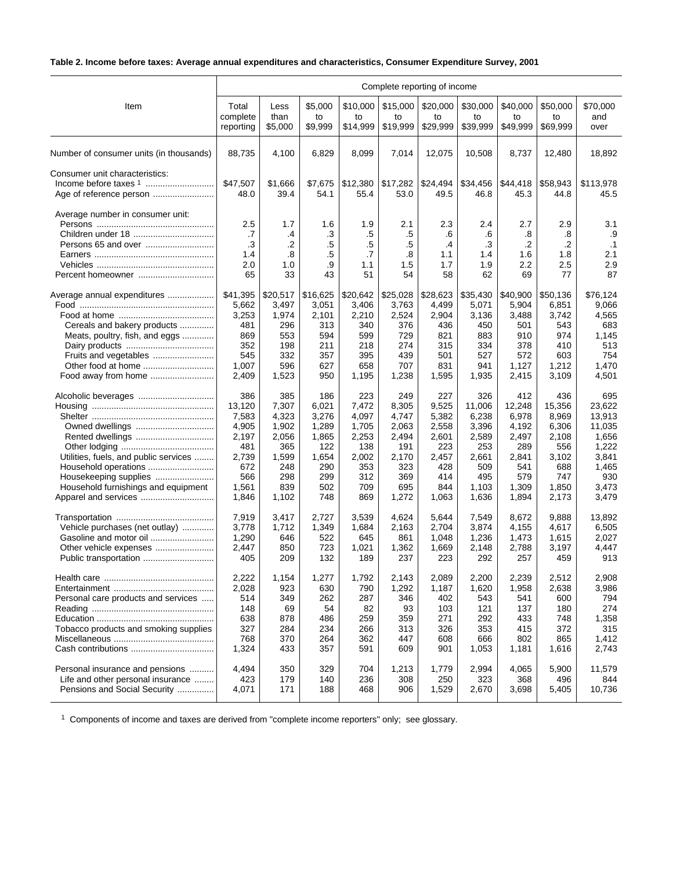# **Table 2. Income before taxes: Average annual expenditures and characteristics, Consumer Expenditure Survey, 2001**

|                                         | Complete reporting of income        |                                    |                                   |                                    |                                    |                                     |                                     |                                     |                                     |                                            |  |
|-----------------------------------------|-------------------------------------|------------------------------------|-----------------------------------|------------------------------------|------------------------------------|-------------------------------------|-------------------------------------|-------------------------------------|-------------------------------------|--------------------------------------------|--|
| Item                                    | Total                               | Less                               | \$5,000                           | \$10,000                           | \$15,000                           | \$20,000                            | \$30,000                            | \$40,000                            | \$50,000                            | \$70,000                                   |  |
|                                         | complete                            | than                               | to                                | to                                 | to                                 | to                                  | to                                  | to                                  | to                                  | and                                        |  |
|                                         | reporting                           | \$5,000                            | \$9,999                           | \$14,999                           | \$19,999                           | \$29,999                            | \$39,999                            | \$49,999                            | \$69,999                            | over                                       |  |
| Number of consumer units (in thousands) | 88,735                              | 4,100                              | 6,829                             | 8,099                              | 7,014                              | 12,075                              | 10,508                              | 8,737                               | 12,480                              | 18,892                                     |  |
| Consumer unit characteristics:          | \$47,507<br>48.0                    | \$1,666<br>39.4                    | \$7,675<br>54.1                   | \$12,380<br>55.4                   | \$17,282<br>53.0                   | \$24,494<br>49.5                    | \$34,456<br>46.8                    | \$44,418<br>45.3                    | \$58,943<br>44.8                    | \$113,978<br>45.5                          |  |
| Average number in consumer unit:        | 2.5<br>.7<br>.3<br>1.4<br>2.0<br>65 | 1.7<br>.4<br>.2<br>.8<br>1.0<br>33 | 1.6<br>.3<br>.5<br>.5<br>.9<br>43 | 1.9<br>.5<br>.5<br>.7<br>1.1<br>51 | 2.1<br>.5<br>.5<br>.8<br>1.5<br>54 | 2.3<br>.6<br>.4<br>1.1<br>1.7<br>58 | 2.4<br>.6<br>.3<br>1.4<br>1.9<br>62 | 2.7<br>.8<br>.2<br>1.6<br>2.2<br>69 | 2.9<br>.8<br>.2<br>1.8<br>2.5<br>77 | 3.1<br>.9<br>$\cdot$ 1<br>2.1<br>2.9<br>87 |  |
| Average annual expenditures             | \$41,395                            | \$20,517                           | \$16,625                          | \$20,642                           | \$25,028                           | \$28,623                            | \$35,430                            | \$40,900                            | \$50,136                            | \$76,124                                   |  |
|                                         | 5,662                               | 3,497                              | 3,051                             | 3,406                              | 3,763                              | 4,499                               | 5,071                               | 5,904                               | 6,851                               | 9,066                                      |  |
|                                         | 3,253                               | 1,974                              | 2,101                             | 2,210                              | 2,524                              | 2,904                               | 3,136                               | 3,488                               | 3,742                               | 4,565                                      |  |
| Cereals and bakery products             | 481                                 | 296                                | 313                               | 340                                | 376                                | 436                                 | 450                                 | 501                                 | 543                                 | 683                                        |  |
| Meats, poultry, fish, and eggs          | 869                                 | 553                                | 594                               | 599                                | 729                                | 821                                 | 883                                 | 910                                 | 974                                 | 1,145                                      |  |
|                                         | 352                                 | 198                                | 211                               | 218                                | 274                                | 315                                 | 334                                 | 378                                 | 410                                 | 513                                        |  |
| Fruits and vegetables                   | 545                                 | 332                                | 357                               | 395                                | 439                                | 501                                 | 527                                 | 572                                 | 603                                 | 754                                        |  |
| Other food at home                      | 1,007                               | 596                                | 627                               | 658                                | 707                                | 831                                 | 941                                 | 1,127                               | 1,212                               | 1,470                                      |  |
| Food away from home                     | 2,409                               | 1,523                              | 950                               | 1,195                              | 1,238                              | 1,595                               | 1,935                               | 2,415                               | 3,109                               | 4,501                                      |  |
|                                         | 386                                 | 385                                | 186                               | 223                                | 249                                | 227                                 | 326                                 | 412                                 | 436                                 | 695                                        |  |
|                                         | 13,120                              | 7,307                              | 6,021                             | 7,472                              | 8,305                              | 9,525                               | 11,006                              | 12,248                              | 15,356                              | 23.622                                     |  |
|                                         | 7,583                               | 4,323                              | 3,276                             | 4,097                              | 4,747                              | 5,382                               | 6,238                               | 6,978                               | 8,969                               | 13,913                                     |  |
| Owned dwellings                         | 4,905                               | 1,902                              | 1,289                             | 1,705                              | 2,063                              | 2,558                               | 3,396                               | 4,192                               | 6,306                               | 11,035                                     |  |
| Rented dwellings                        | 2,197                               | 2,056                              | 1,865                             | 2,253                              | 2,494                              | 2,601                               | 2,589                               | 2,497                               | 2,108                               | 1,656                                      |  |
|                                         | 481                                 | 365                                | 122                               | 138                                | 191                                | 223                                 | 253                                 | 289                                 | 556                                 | 1,222                                      |  |
| Utilities, fuels, and public services   | 2,739                               | 1,599                              | 1,654                             | 2,002                              | 2,170                              | 2,457                               | 2,661                               | 2,841                               | 3,102                               | 3,841                                      |  |
| Household operations                    | 672                                 | 248                                | 290                               | 353                                | 323                                | 428                                 | 509                                 | 541                                 | 688                                 | 1,465                                      |  |
| Housekeeping supplies                   | 566                                 | 298                                | 299                               | 312                                | 369                                | 414                                 | 495                                 | 579                                 | 747                                 | 930                                        |  |
| Household furnishings and equipment     | 1,561                               | 839                                | 502                               | 709                                | 695                                | 844                                 | 1,103                               | 1,309                               | 1,850                               | 3,473                                      |  |
|                                         | 1,846                               | 1,102                              | 748                               | 869                                | 1,272                              | 1,063                               | 1,636                               | 1,894                               | 2,173                               | 3,479                                      |  |
|                                         | 7,919                               | 3,417                              | 2,727                             | 3,539                              | 4,624                              | 5,644                               | 7,549                               | 8,672                               | 9,888                               | 13,892                                     |  |
| Vehicle purchases (net outlay)          | 3,778                               | 1,712                              | 1,349                             | 1,684                              | 2,163                              | 2,704                               | 3,874                               | 4,155                               | 4,617                               | 6,505                                      |  |
|                                         | 1,290                               | 646                                | 522                               | 645                                | 861                                | 1,048                               | 1,236                               | 1,473                               | 1,615                               | 2,027                                      |  |
|                                         | 2,447                               | 850                                | 723                               | 1,021                              | 1,362                              | 1,669                               | 2,148                               | 2,788                               | 3,197                               | 4,447                                      |  |
|                                         | 405                                 | 209                                | 132                               | 189                                | 237                                | 223                                 | 292                                 | 257                                 | 459                                 | 913                                        |  |
|                                         | 2,222                               | 1,154                              | 1,277                             | 1,792                              | 2,143                              | 2,089                               | 2,200                               | 2,239                               | 2,512                               | 2,908                                      |  |
|                                         | 2,028                               | 923                                | 630                               | 790                                | 1,292                              | 1,187                               | 1,620                               | 1,958                               | 2,638                               | 3,986                                      |  |
| Personal care products and services     | 514                                 | 349                                | 262                               | 287                                | 346                                | 402                                 | 543                                 | 541                                 | 600                                 | 794                                        |  |
|                                         | 148                                 | 69                                 | 54                                | 82                                 | 93                                 | 103                                 | 121                                 | 137                                 | 180                                 | 274                                        |  |
|                                         | 638                                 | 878                                | 486                               | 259                                | 359                                | 271                                 | 292                                 | 433                                 | 748                                 | 1,358                                      |  |
| Tobacco products and smoking supplies   | 327                                 | 284                                | 234                               | 266                                | 313                                | 326                                 | 353                                 | 415                                 | 372                                 | 315                                        |  |
|                                         | 768                                 | 370                                | 264                               | 362                                | 447                                | 608                                 | 666                                 | 802                                 | 865                                 | 1,412                                      |  |
|                                         | 1,324                               | 433                                | 357                               | 591                                | 609                                | 901                                 | 1,053                               | 1,181                               | 1,616                               | 2,743                                      |  |
| Personal insurance and pensions         | 4,494                               | 350                                | 329                               | 704                                | 1,213                              | 1,779                               | 2,994                               | 4,065                               | 5,900                               | 11,579                                     |  |
| Life and other personal insurance       | 423                                 | 179                                | 140                               | 236                                | 308                                | 250                                 | 323                                 | 368                                 | 496                                 | 844                                        |  |
| Pensions and Social Security            | 4,071                               | 171                                | 188                               | 468                                | 906                                | 1,529                               | 2,670                               | 3,698                               | 5,405                               | 10,736                                     |  |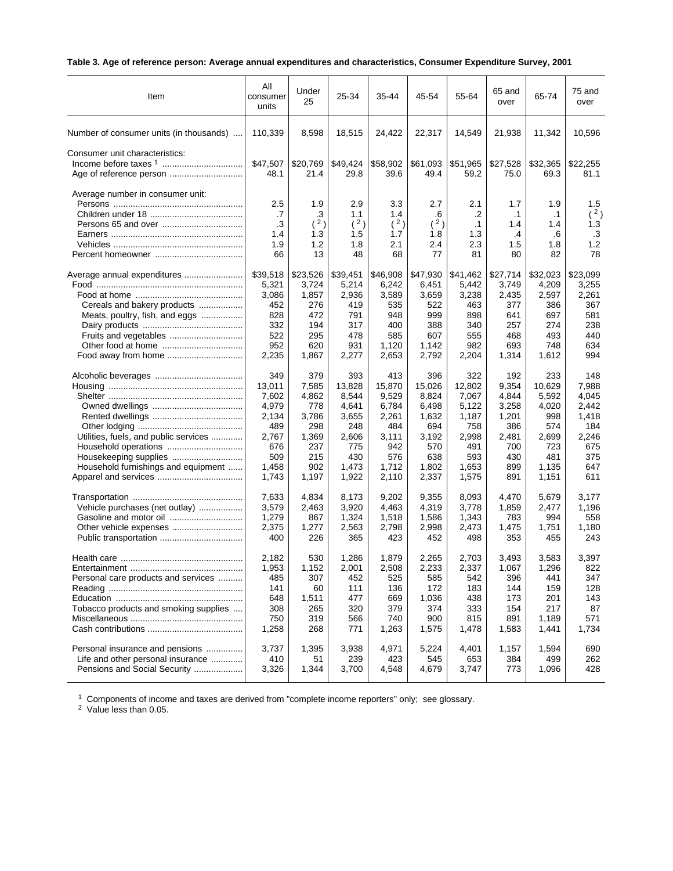# **Table 3. Age of reference person: Average annual expenditures and characteristics, Consumer Expenditure Survey, 2001**

| Item                                    | All<br>consumer<br>units            | Under<br>25                          | 25-34                                 | 35-44                                 | 45-54                                | 55-64                                      | 65 and<br>over                      | 65-74                                      | 75 and<br>over                              |
|-----------------------------------------|-------------------------------------|--------------------------------------|---------------------------------------|---------------------------------------|--------------------------------------|--------------------------------------------|-------------------------------------|--------------------------------------------|---------------------------------------------|
| Number of consumer units (in thousands) | 110,339                             | 8,598                                | 18,515                                | 24,422                                | 22,317                               | 14,549                                     | 21,938                              | 11,342                                     | 10,596                                      |
| Consumer unit characteristics:          | \$47,507<br>48.1                    | \$20,769<br>21.4                     | \$49,424<br>29.8                      | \$58,902<br>39.6                      | \$61,093<br>49.4                     | \$51,965<br>59.2                           | \$27,528<br>75.0                    | \$32,365<br>69.3                           | \$22,255<br>81.1                            |
| Average number in consumer unit:        | 2.5<br>.7<br>.3<br>1.4<br>1.9<br>66 | 1.9<br>.3<br>(2)<br>1.3<br>1.2<br>13 | 2.9<br>1.1<br>(2)<br>1.5<br>1.8<br>48 | 3.3<br>1.4<br>(2)<br>1.7<br>2.1<br>68 | 2.7<br>.6<br>(2)<br>1.8<br>2.4<br>77 | 2.1<br>.2<br>$\cdot$ 1<br>1.3<br>2.3<br>81 | 1.7<br>.1<br>1.4<br>.4<br>1.5<br>80 | 1.9<br>$\cdot$ 1<br>1.4<br>.6<br>1.8<br>82 | 1.5<br>(2)<br>1.3<br>$\cdot$ 3<br>1.2<br>78 |
| Average annual expenditures             | \$39,518                            | \$23,526                             | \$39,451                              | \$46,908                              | \$47,930                             | \$41,462                                   | \$27,714                            | \$32,023                                   | \$23,099                                    |
|                                         | 5,321                               | 3,724                                | 5,214                                 | 6,242                                 | 6,451                                | 5,442                                      | 3,749                               | 4,209                                      | 3,255                                       |
|                                         | 3,086                               | 1,857                                | 2,936                                 | 3,589                                 | 3,659                                | 3,238                                      | 2,435                               | 2,597                                      | 2,261                                       |
| Cereals and bakery products             | 452                                 | 276                                  | 419                                   | 535                                   | 522                                  | 463                                        | 377                                 | 386                                        | 367                                         |
| Meats, poultry, fish, and eggs          | 828                                 | 472                                  | 791                                   | 948                                   | 999                                  | 898                                        | 641                                 | 697                                        | 581                                         |
|                                         | 332                                 | 194                                  | 317                                   | 400                                   | 388                                  | 340                                        | 257                                 | 274                                        | 238                                         |
|                                         | 522                                 | 295                                  | 478                                   | 585                                   | 607                                  | 555                                        | 468                                 | 493                                        | 440                                         |
|                                         | 952                                 | 620                                  | 931                                   | 1,120                                 | 1,142                                | 982                                        | 693                                 | 748                                        | 634                                         |
|                                         | 2,235                               | 1,867                                | 2,277                                 | 2,653                                 | 2,792                                | 2,204                                      | 1,314                               | 1,612                                      | 994                                         |
|                                         | 349                                 | 379                                  | 393                                   | 413                                   | 396                                  | 322                                        | 192                                 | 233                                        | 148                                         |
|                                         | 13.011                              | 7,585                                | 13,828                                | 15,870                                | 15,026                               | 12,802                                     | 9,354                               | 10,629                                     | 7,988                                       |
|                                         | 7,602                               | 4,862                                | 8,544                                 | 9,529                                 | 8,824                                | 7,067                                      | 4,844                               | 5,592                                      | 4,045                                       |
|                                         | 4,979                               | 778                                  | 4,641                                 | 6,784                                 | 6,498                                | 5,122                                      | 3,258                               | 4,020                                      | 2,442                                       |
|                                         | 2,134                               | 3,786                                | 3,655                                 | 2,261                                 | 1,632                                | 1,187                                      | 1,201                               | 998                                        | 1,418                                       |
|                                         | 489                                 | 298                                  | 248                                   | 484                                   | 694                                  | 758                                        | 386                                 | 574                                        | 184                                         |
| Utilities, fuels, and public services   | 2,767                               | 1,369                                | 2,606                                 | 3,111                                 | 3,192                                | 2,998                                      | 2,481                               | 2,699                                      | 2,246                                       |
| Household operations                    | 676                                 | 237                                  | 775                                   | 942                                   | 570                                  | 491                                        | 700                                 | 723                                        | 675                                         |
|                                         | 509                                 | 215                                  | 430                                   | 576                                   | 638                                  | 593                                        | 430                                 | 481                                        | 375                                         |
| Household furnishings and equipment     | 1,458                               | 902                                  | 1,473                                 | 1,712                                 | 1,802                                | 1,653                                      | 899                                 | 1,135                                      | 647                                         |
|                                         | 1,743                               | 1,197                                | 1,922                                 | 2,110                                 | 2,337                                | 1,575                                      | 891                                 | 1,151                                      | 611                                         |
|                                         | 7,633                               | 4,834                                | 8,173                                 | 9,202                                 | 9,355                                | 8,093                                      | 4,470                               | 5,679                                      | 3,177                                       |
| Vehicle purchases (net outlay)          | 3,579                               | 2,463                                | 3,920                                 | 4,463                                 | 4,319                                | 3,778                                      | 1,859                               | 2,477                                      | 1,196                                       |
|                                         | 1,279                               | 867                                  | 1,324                                 | 1,518                                 | 1,586                                | 1,343                                      | 783                                 | 994                                        | 558                                         |
|                                         | 2,375                               | 1,277                                | 2,563                                 | 2,798                                 | 2,998                                | 2,473                                      | 1,475                               | 1,751                                      | 1,180                                       |
|                                         | 400                                 | 226                                  | 365                                   | 423                                   | 452                                  | 498                                        | 353                                 | 455                                        | 243                                         |
|                                         | 2,182                               | 530                                  | 1,286                                 | 1.879                                 | 2,265                                | 2,703                                      | 3,493                               | 3,583                                      | 3,397                                       |
| <b>Entertainment</b>                    | 1,953                               | 1,152                                | 2,001                                 | 2,508                                 | 2.233                                | 2,337                                      | 1,067                               | 1.296                                      | 822                                         |
| Personal care products and services     | 485                                 | 307                                  | 452                                   | 525                                   | 585                                  | 542                                        | 396                                 | 441                                        | 347                                         |
|                                         | 141                                 | 60                                   | 111                                   | 136                                   | 172                                  | 183                                        | 144                                 | 159                                        | 128                                         |
|                                         | 648                                 | 1,511                                | 477                                   | 669                                   | 1,036                                | 438                                        | 173                                 | 201                                        | 143                                         |
| Tobacco products and smoking supplies   | 308                                 | 265                                  | 320                                   | 379                                   | 374                                  | 333                                        | 154                                 | 217                                        | 87                                          |
|                                         | 750                                 | 319                                  | 566                                   | 740                                   | 900                                  | 815                                        | 891                                 | 1,189                                      | 571                                         |
|                                         | 1,258                               | 268                                  | 771                                   | 1,263                                 | 1,575                                | 1,478                                      | 1,583                               | 1,441                                      | 1,734                                       |
| Personal insurance and pensions         | 3,737                               | 1,395                                | 3,938                                 | 4,971                                 | 5,224                                | 4,401                                      | 1,157                               | 1,594                                      | 690                                         |
| Life and other personal insurance       | 410                                 | 51                                   | 239                                   | 423                                   | 545                                  | 653                                        | 384                                 | 499                                        | 262                                         |
| Pensions and Social Security            | 3,326                               | 1,344                                | 3,700                                 | 4,548                                 | 4,679                                | 3,747                                      | 773                                 | 1,096                                      | 428                                         |

 $1$  Components of income and taxes are derived from "complete income reporters" only; see glossary.

<sup>2</sup> Value less than 0.05.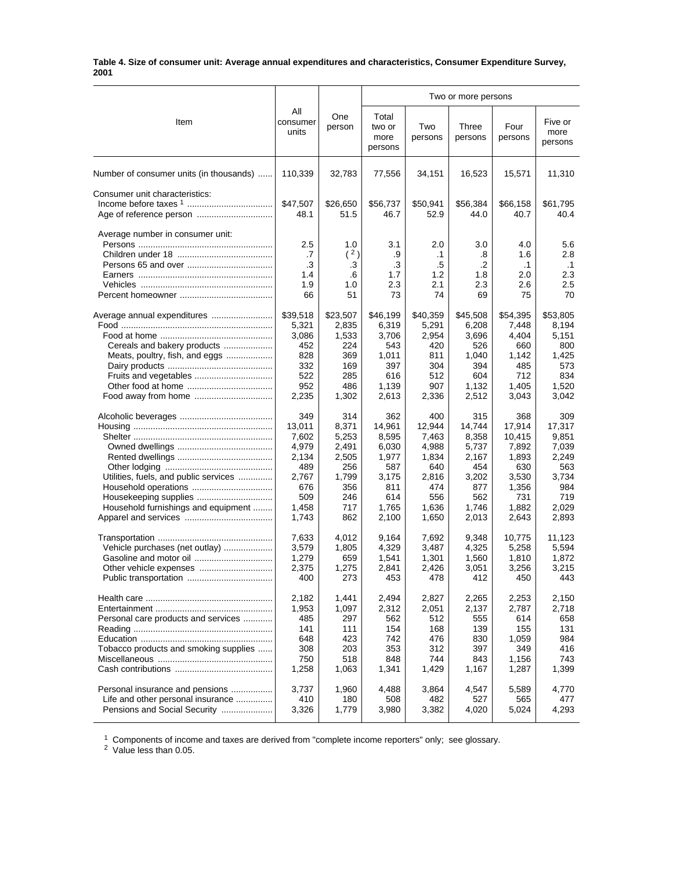#### **Table 4. Size of consumer unit: Average annual expenditures and characteristics, Consumer Expenditure Survey, 2001**

|                                         |                                     |                                     | Two or more persons                 |                                            |                                     |                                             |                                             |
|-----------------------------------------|-------------------------------------|-------------------------------------|-------------------------------------|--------------------------------------------|-------------------------------------|---------------------------------------------|---------------------------------------------|
| Item                                    | All<br>consumer<br>units            | One<br>person                       | Total<br>two or<br>more<br>persons  | Two<br>persons                             | Three<br>persons                    | Four<br>persons                             | Five or<br>more<br>persons                  |
| Number of consumer units (in thousands) | 110,339                             | 32,783                              | 77,556                              | 34,151                                     | 16,523                              | 15,571                                      | 11,310                                      |
| Consumer unit characteristics:          | \$47,507<br>48.1                    | \$26,650<br>51.5                    | \$56,737<br>46.7                    | \$50,941<br>52.9                           | \$56,384<br>44.0                    | \$66,158<br>40.7                            | \$61,795<br>40.4                            |
| Average number in consumer unit:        | 2.5<br>.7<br>.3<br>1.4<br>1.9<br>66 | 1.0<br>(2)<br>.3<br>.6<br>1.0<br>51 | 3.1<br>.9<br>.3<br>1.7<br>2.3<br>73 | 2.0<br>$\cdot$ 1<br>.5<br>1.2<br>2.1<br>74 | 3.0<br>.8<br>.2<br>1.8<br>2.3<br>69 | 4.0<br>1.6<br>$\cdot$ 1<br>2.0<br>2.6<br>75 | 5.6<br>2.8<br>$\cdot$ 1<br>2.3<br>2.5<br>70 |
|                                         | \$39,518                            | \$23,507                            | \$46,199                            | \$40,359                                   | \$45,508                            | \$54,395                                    | \$53,805                                    |
|                                         | 5,321                               | 2,835                               | 6,319                               | 5,291                                      | 6,208                               | 7,448                                       | 8,194                                       |
|                                         | 3,086                               | 1,533                               | 3,706                               | 2,954                                      | 3,696                               | 4,404                                       | 5,151                                       |
| Cereals and bakery products             | 452                                 | 224                                 | 543                                 | 420                                        | 526                                 | 660                                         | 800                                         |
| Meats, poultry, fish, and eggs          | 828                                 | 369                                 | 1,011                               | 811                                        | 1,040                               | 1,142                                       | 1,425                                       |
|                                         | 332                                 | 169                                 | 397                                 | 304                                        | 394                                 | 485                                         | 573                                         |
|                                         | 522                                 | 285                                 | 616                                 | 512                                        | 604                                 | 712                                         | 834                                         |
|                                         | 952                                 | 486                                 | 1,139                               | 907                                        | 1,132                               | 1,405                                       | 1,520                                       |
|                                         | 2,235                               | 1,302                               | 2,613                               | 2,336                                      | 2,512                               | 3,043                                       | 3,042                                       |
|                                         | 349                                 | 314                                 | 362                                 | 400                                        | 315                                 | 368                                         | 309                                         |
|                                         | 13,011                              | 8,371                               | 14,961                              | 12,944                                     | 14,744                              | 17,914                                      | 17,317                                      |
|                                         | 7,602                               | 5,253                               | 8,595                               | 7,463                                      | 8,358                               | 10,415                                      | 9,851                                       |
|                                         | 4,979                               | 2,491                               | 6,030                               | 4,988                                      | 5,737                               | 7,892                                       | 7,039                                       |
|                                         | 2,134                               | 2,505                               | 1,977                               | 1,834                                      | 2,167                               | 1,893                                       | 2,249                                       |
|                                         | 489                                 | 256                                 | 587                                 | 640                                        | 454                                 | 630                                         | 563                                         |
| Utilities, fuels, and public services   | 2,767                               | 1,799                               | 3,175                               | 2,816                                      | 3,202                               | 3,530                                       | 3,734                                       |
|                                         | 676                                 | 356                                 | 811                                 | 474                                        | 877                                 | 1,356                                       | 984                                         |
|                                         | 509                                 | 246                                 | 614                                 | 556                                        | 562                                 | 731                                         | 719                                         |
| Household furnishings and equipment     | 1,458                               | 717                                 | 1,765                               | 1,636                                      | 1,746                               | 1,882                                       | 2,029                                       |
|                                         | 1,743                               | 862                                 | 2,100                               | 1,650                                      | 2,013                               | 2,643                                       | 2,893                                       |
|                                         | 7,633                               | 4,012                               | 9,164                               | 7,692                                      | 9,348                               | 10,775                                      | 11,123                                      |
| Vehicle purchases (net outlay)          | 3,579                               | 1,805                               | 4,329                               | 3,487                                      | 4,325                               | 5,258                                       | 5,594                                       |
|                                         | 1,279                               | 659                                 | 1,541                               | 1,301                                      | 1,560                               | 1,810                                       | 1,872                                       |
| Other vehicle expenses                  | 2,375                               | 1,275                               | 2,841                               | 2,426                                      | 3,051                               | 3,256                                       | 3,215                                       |
|                                         | 400                                 | 273                                 | 453                                 | 478                                        | 412                                 | 450                                         | 443                                         |
|                                         | 2,182                               | 1,441                               | 2,494                               | 2,827                                      | 2,265                               | 2,253                                       | 2,150                                       |
|                                         | 1,953                               | 1,097                               | 2,312                               | 2,051                                      | 2,137                               | 2,787                                       | 2,718                                       |
| Personal care products and services     | 485                                 | 297                                 | 562                                 | 512                                        | 555                                 | 614                                         | 658                                         |
|                                         | 141                                 | 111                                 | 154                                 | 168                                        | 139                                 | 155                                         | 131                                         |
|                                         | 648                                 | 423                                 | 742                                 | 476                                        | 830                                 | 1,059                                       | 984                                         |
| Tobacco products and smoking supplies   | 308                                 | 203                                 | 353                                 | 312                                        | 397                                 | 349                                         | 416                                         |
|                                         | 750                                 | 518                                 | 848                                 | 744                                        | 843                                 | 1,156                                       | 743                                         |
|                                         | 1,258                               | 1,063                               | 1,341                               | 1,429                                      | 1,167                               | 1,287                                       | 1,399                                       |
| Personal insurance and pensions         | 3,737                               | 1,960                               | 4,488                               | 3,864                                      | 4,547                               | 5,589                                       | 4,770                                       |
| Life and other personal insurance       | 410                                 | 180                                 | 508                                 | 482                                        | 527                                 | 565                                         | 477                                         |
| Pensions and Social Security            | 3,326                               | 1,779                               | 3,980                               | 3,382                                      | 4,020                               | 5,024                                       | 4,293                                       |

 $1$  Components of income and taxes are derived from "complete income reporters" only; see glossary.

<sup>2</sup> Value less than 0.05.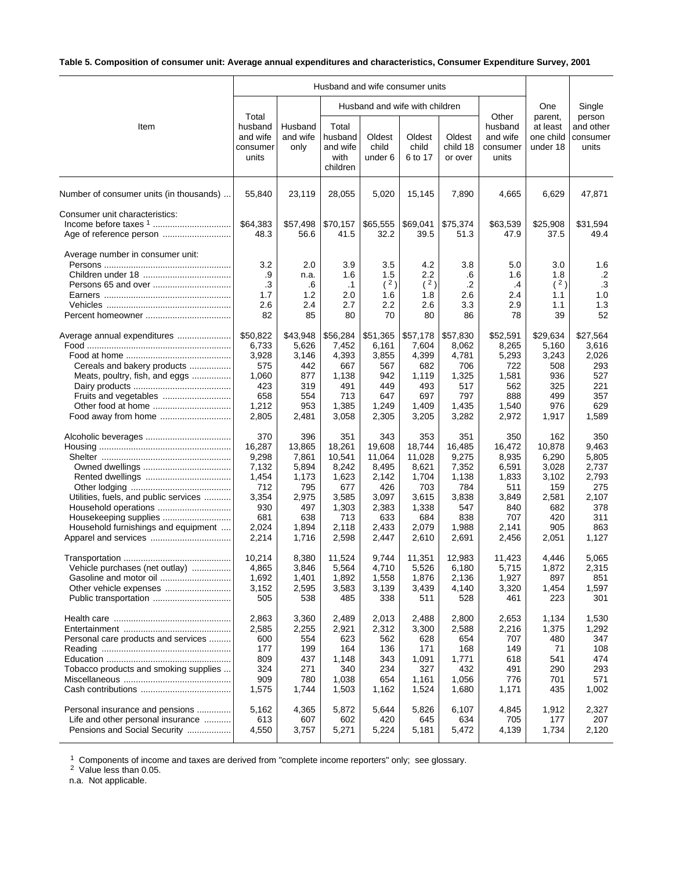# **Table 5. Composition of consumer unit: Average annual expenditures and characteristics, Consumer Expenditure Survey, 2001**

|                                                                                                       |                                                                                          |                                                                                          |                                                                                             |                                                                                             | Husband and wife consumer units                                                             |                                                                                          |                                                                                          |                                                                                        |                                                                                       |
|-------------------------------------------------------------------------------------------------------|------------------------------------------------------------------------------------------|------------------------------------------------------------------------------------------|---------------------------------------------------------------------------------------------|---------------------------------------------------------------------------------------------|---------------------------------------------------------------------------------------------|------------------------------------------------------------------------------------------|------------------------------------------------------------------------------------------|----------------------------------------------------------------------------------------|---------------------------------------------------------------------------------------|
|                                                                                                       |                                                                                          |                                                                                          |                                                                                             |                                                                                             | Husband and wife with children                                                              |                                                                                          |                                                                                          | One                                                                                    | Single                                                                                |
| Item                                                                                                  | Total<br>husband<br>and wife<br>consumer<br>units                                        | Husband<br>and wife<br>only                                                              | Total<br>husband<br>and wife<br>with<br>children                                            | Oldest<br>child<br>under 6                                                                  | Oldest<br>child<br>6 to 17                                                                  | Oldest<br>child 18<br>or over                                                            | Other<br>husband<br>and wife<br>consumer<br>units                                        | parent,<br>at least<br>one child<br>under 18                                           | person<br>and other<br>consumer<br>units                                              |
| Number of consumer units (in thousands)                                                               | 55,840                                                                                   | 23,119                                                                                   | 28,055                                                                                      | 5,020                                                                                       | 15,145                                                                                      | 7,890                                                                                    | 4,665                                                                                    | 6,629                                                                                  | 47,871                                                                                |
| Consumer unit characteristics:                                                                        | \$64,383<br>48.3                                                                         | \$57,498<br>56.6                                                                         | \$70,157<br>41.5                                                                            | \$65,555<br>32.2                                                                            | \$69,041<br>39.5                                                                            | \$75,374<br>51.3                                                                         | \$63,539<br>47.9                                                                         | \$25,908<br>37.5                                                                       | \$31,594<br>49.4                                                                      |
| Average number in consumer unit:                                                                      | 3.2<br>.9<br>.3<br>1.7<br>2.6<br>82                                                      | 2.0<br>n.a.<br>.6<br>1.2<br>2.4<br>85                                                    | 3.9<br>1.6<br>$\cdot$ 1<br>2.0<br>2.7<br>80                                                 | 3.5<br>1.5<br>(2)<br>1.6<br>2.2<br>70                                                       | 4.2<br>2.2<br>(2)<br>1.8<br>2.6<br>80                                                       | 3.8<br>.6<br>$\cdot$ .2<br>2.6<br>3.3<br>86                                              | 5.0<br>1.6<br>.4<br>2.4<br>2.9<br>78                                                     | 3.0<br>1.8<br>(2)<br>1.1<br>1.1<br>39                                                  | 1.6<br>$\cdot$ .2<br>.3<br>1.0<br>1.3<br>52                                           |
| Average annual expenditures<br>Cereals and bakery products<br>Meats, poultry, fish, and eggs          | \$50,822<br>6,733<br>3,928<br>575<br>1,060<br>423<br>658<br>1,212<br>2,805               | \$43,948<br>5,626<br>3,146<br>442<br>877<br>319<br>554<br>953<br>2,481                   | \$56,284<br>7,452<br>4,393<br>667<br>1,138<br>491<br>713<br>1,385<br>3,058                  | \$51,365<br>6,161<br>3,855<br>567<br>942<br>449<br>647<br>1,249<br>2,305                    | \$57,178<br>7,604<br>4,399<br>682<br>1,119<br>493<br>697<br>1,409<br>3,205                  | \$57,830<br>8,062<br>4,781<br>706<br>1,325<br>517<br>797<br>1,435<br>3,282               | \$52,591<br>8,265<br>5,293<br>722<br>1,581<br>562<br>888<br>1,540<br>2,972               | \$29,634<br>5,160<br>3,243<br>508<br>936<br>325<br>499<br>976<br>1,917                 | \$27,564<br>3,616<br>2,026<br>293<br>527<br>221<br>357<br>629<br>1,589                |
| Utilities, fuels, and public services<br>Housekeeping supplies<br>Household furnishings and equipment | 370<br>16,287<br>9,298<br>7,132<br>1,454<br>712<br>3,354<br>930<br>681<br>2,024<br>2,214 | 396<br>13,865<br>7,861<br>5,894<br>1,173<br>795<br>2,975<br>497<br>638<br>1,894<br>1,716 | 351<br>18,261<br>10,541<br>8,242<br>1,623<br>677<br>3,585<br>1,303<br>713<br>2,118<br>2,598 | 343<br>19,608<br>11,064<br>8,495<br>2,142<br>426<br>3,097<br>2,383<br>633<br>2,433<br>2,447 | 353<br>18,744<br>11,028<br>8,621<br>1,704<br>703<br>3,615<br>1,338<br>684<br>2,079<br>2,610 | 351<br>16,485<br>9,275<br>7,352<br>1,138<br>784<br>3,838<br>547<br>838<br>1,988<br>2,691 | 350<br>16,472<br>8,935<br>6,591<br>1,833<br>511<br>3,849<br>840<br>707<br>2,141<br>2,456 | 162<br>10,878<br>6,290<br>3,028<br>3,102<br>159<br>2,581<br>682<br>420<br>905<br>2,051 | 350<br>9,463<br>5,805<br>2,737<br>2,793<br>275<br>2,107<br>378<br>311<br>863<br>1,127 |
| Vehicle purchases (net outlay)                                                                        | 10,214<br>4.865<br>1,692<br>3,152<br>505                                                 | 8,380<br>3,846<br>1,401<br>2,595<br>538                                                  | 11,524<br>5,564<br>1,892<br>3,583<br>485                                                    | 9,744<br>4,710<br>1,558<br>3,139<br>338                                                     | 11,351<br>5,526<br>1,876<br>3,439<br>511                                                    | 12,983<br>6,180<br>2,136<br>4,140<br>528                                                 | 11,423<br>5,715<br>1,927<br>3,320<br>461                                                 | 4,446<br>1,872<br>897<br>1,454<br>223                                                  | 5,065<br>2,315<br>851<br>1,597<br>301                                                 |
| Personal care products and services<br>Tobacco products and smoking supplies                          | 2,863<br>2,585<br>600<br>177<br>809<br>324<br>909<br>1,575                               | 3,360<br>2,255<br>554<br>199<br>437<br>271<br>780<br>1,744                               | 2,489<br>2,921<br>623<br>164<br>1,148<br>340<br>1,038<br>1,503                              | 2,013<br>2,312<br>562<br>136<br>343<br>234<br>654<br>1,162                                  | 2,488<br>3,300<br>628<br>171<br>1,091<br>327<br>1,161<br>1,524                              | 2,800<br>2,588<br>654<br>168<br>1,771<br>432<br>1,056<br>1,680                           | 2,653<br>2,216<br>707<br>149<br>618<br>491<br>776<br>1,171                               | 1,134<br>1,375<br>480<br>71<br>541<br>290<br>701<br>435                                | 1,530<br>1,292<br>347<br>108<br>474<br>293<br>571<br>1,002                            |
| Personal insurance and pensions<br>Life and other personal insurance<br>Pensions and Social Security  | 5,162<br>613<br>4,550                                                                    | 4,365<br>607<br>3,757                                                                    | 5,872<br>602<br>5,271                                                                       | 5,644<br>420<br>5,224                                                                       | 5,826<br>645<br>5,181                                                                       | 6,107<br>634<br>5,472                                                                    | 4,845<br>705<br>4,139                                                                    | 1,912<br>177<br>1,734                                                                  | 2,327<br>207<br>2,120                                                                 |

 $1$  Components of income and taxes are derived from "complete income reporters" only; see glossary.

<sup>2</sup> Value less than 0.05.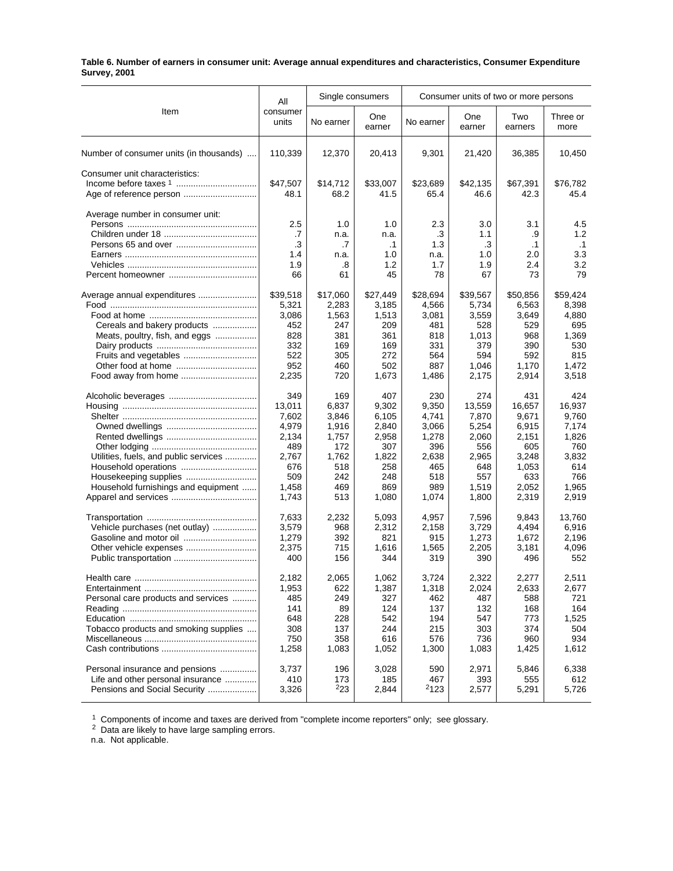#### **Table 6. Number of earners in consumer unit: Average annual expenditures and characteristics, Consumer Expenditure Survey, 2001**

|                                         | All               |            | Single consumers |              |               | Consumer units of two or more persons |                  |
|-----------------------------------------|-------------------|------------|------------------|--------------|---------------|---------------------------------------|------------------|
| Item                                    | consumer<br>units | No earner  | One<br>earner    | No earner    | One<br>earner | Two<br>earners                        | Three or<br>more |
| Number of consumer units (in thousands) | 110,339           | 12,370     | 20,413           | 9,301        | 21,420        | 36,385                                | 10,450           |
| Consumer unit characteristics:          |                   |            |                  |              |               |                                       |                  |
|                                         | \$47,507          | \$14,712   | \$33,007         | \$23,689     | \$42,135      | \$67,391                              | \$76,782         |
|                                         | 48.1              | 68.2       | 41.5             | 65.4         | 46.6          | 42.3                                  | 45.4             |
| Average number in consumer unit:        | 2.5               | 1.0        | 1.0              | 2.3          | 3.0           | 3.1                                   | 4.5              |
|                                         | .7                | n.a.       | n.a.             | .3           | 1.1           | .9                                    | 1.2              |
|                                         | .3                | .7         | $\cdot$ 1        | 1.3          | .3            | $\cdot$ 1                             | $\cdot$ 1        |
|                                         | 1.4               | n.a.       | 1.0              | n.a.         | 1.0           | 2.0                                   | 3.3              |
|                                         | 1.9               | .8         | 1.2              | 1.7          | 1.9           | 2.4                                   | 3.2              |
|                                         | 66                | 61         | 45               | 78           | 67            | 73                                    | 79               |
| Average annual expenditures             | \$39,518          | \$17,060   | \$27,449         | \$28,694     | \$39,567      | \$50,856                              | \$59,424         |
|                                         | 5,321             | 2,283      | 3,185            | 4,566        | 5,734         | 6,563                                 | 8,398            |
|                                         | 3.086             | 1,563      | 1,513            | 3,081        | 3,559         | 3,649                                 | 4,880            |
| Cereals and bakery products             | 452               | 247        | 209              | 481          | 528           | 529                                   | 695              |
| Meats, poultry, fish, and eggs          | 828               | 381        | 361              | 818          | 1,013         | 968                                   | 1,369            |
|                                         | 332               | 169        | 169              | 331          | 379           | 390                                   | 530              |
|                                         | 522               | 305        | 272              | 564          | 594           | 592                                   | 815              |
|                                         | 952               | 460        | 502              | 887          | 1,046         | 1,170                                 | 1.472            |
| Food away from home                     | 2,235             | 720        | 1,673            | 1,486        | 2,175         | 2,914                                 | 3,518            |
|                                         | 349               | 169        | 407              | 230          | 274           | 431                                   | 424              |
|                                         | 13,011            | 6,837      | 9,302            | 9,350        | 13,559        | 16,657                                | 16,937           |
|                                         | 7,602             | 3,846      | 6,105            | 4,741        | 7,870         | 9,671                                 | 9,760            |
|                                         | 4,979             | 1,916      | 2,840            | 3,066        | 5,254         | 6,915                                 | 7,174            |
|                                         | 2,134             | 1,757      | 2,958            | 1,278        | 2,060         | 2,151                                 | 1,826            |
|                                         | 489               | 172        | 307              | 396          | 556           | 605                                   | 760              |
| Utilities, fuels, and public services   | 2,767             | 1,762      | 1,822            | 2,638        | 2,965         | 3,248                                 | 3,832            |
|                                         | 676               | 518        | 258              | 465          | 648           | 1,053                                 | 614              |
| Housekeeping supplies                   | 509               | 242        | 248              | 518          | 557           | 633                                   | 766              |
| Household furnishings and equipment     | 1,458             | 469        | 869              | 989          | 1,519         | 2,052                                 | 1,965            |
|                                         | 1,743             | 513        | 1,080            | 1,074        | 1,800         | 2,319                                 | 2,919            |
|                                         |                   | 2,232      |                  |              |               |                                       | 13,760           |
|                                         | 7,633             |            | 5,093            | 4,957        | 7,596         | 9,843                                 |                  |
| Vehicle purchases (net outlay)          | 3,579             | 968        | 2,312            | 2,158        | 3,729         | 4,494                                 | 6,916            |
| Gasoline and motor oil                  | 1,279             | 392        | 821              | 915          | 1,273         | 1,672                                 | 2,196            |
|                                         | 2,375<br>400      | 715<br>156 | 1,616<br>344     | 1,565<br>319 | 2,205<br>390  | 3,181<br>496                          | 4,096<br>552     |
|                                         | 2,182             | 2,065      | 1,062            | 3,724        | 2,322         | 2,277                                 | 2,511            |
|                                         | 1,953             | 622        | 1,387            | 1,318        | 2,024         | 2,633                                 | 2,677            |
| Personal care products and services     | 485               | 249        | 327              | 462          | 487           | 588                                   | 721              |
|                                         | 141               | 89         | 124              | 137          | 132           | 168                                   | 164              |
|                                         | 648               | 228        | 542              | 194          | 547           | 773                                   | 1,525            |
| Tobacco products and smoking supplies   | 308               | 137        | 244              | 215          | 303           | 374                                   | 504              |
|                                         | 750               | 358        | 616              | 576          | 736           | 960                                   | 934              |
|                                         | 1,258             | 1,083      | 1,052            | 1,300        | 1,083         | 1,425                                 | 1,612            |
|                                         |                   |            |                  |              |               |                                       |                  |
| Personal insurance and pensions         | 3,737             | 196        | 3,028            | 590          | 2,971         | 5,846                                 | 6,338            |
| Life and other personal insurance       | 410               | 173        | 185              | 467          | 393           | 555                                   | 612              |
| Pensions and Social Security            | 3,326             | $^{2}23$   | 2,844            | 2123         | 2,577         | 5,291                                 | 5,726            |
|                                         |                   |            |                  |              |               |                                       |                  |

 $1$  Components of income and taxes are derived from "complete income reporters" only; see glossary.

 $2$  Data are likely to have large sampling errors.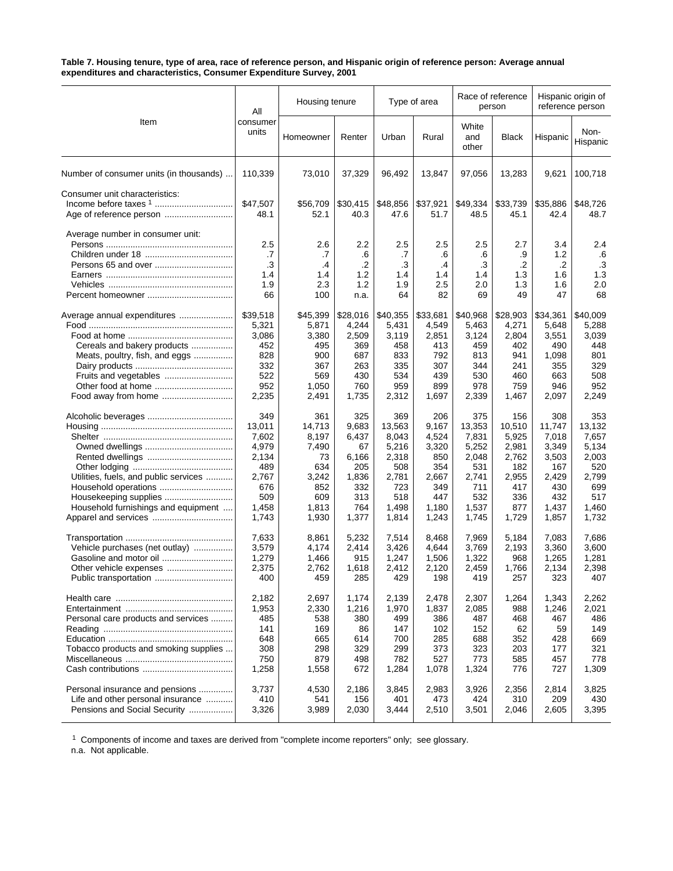#### **Table 7. Housing tenure, type of area, race of reference person, and Hispanic origin of reference person: Average annual expenditures and characteristics, Consumer Expenditure Survey, 2001**

|                                         | All                                 | Housing tenure                       |                                       | Type of area                        |                                          |                                     | Race of reference<br>person         | Hispanic origin of<br>reference person |                                            |
|-----------------------------------------|-------------------------------------|--------------------------------------|---------------------------------------|-------------------------------------|------------------------------------------|-------------------------------------|-------------------------------------|----------------------------------------|--------------------------------------------|
| Item                                    | consumer<br>units                   | Homeowner                            | Renter                                | Urban                               | Rural                                    | White<br>and<br>other               | <b>Black</b>                        | Hispanic                               | Non-<br>Hispanic                           |
| Number of consumer units (in thousands) | 110,339                             | 73,010                               | 37,329                                | 96,492                              | 13,847                                   | 97,056                              | 13,283                              | 9,621                                  | 100,718                                    |
| Consumer unit characteristics:          | \$47,507<br>48.1                    | \$56,709<br>52.1                     | \$30,415<br>40.3                      | \$48,856<br>47.6                    | \$37,921<br>51.7                         | \$49,334<br>48.5                    | \$33,739<br>45.1                    | \$35,886<br>42.4                       | \$48,726<br>48.7                           |
| Average number in consumer unit:        | 2.5<br>.7<br>.3<br>1.4<br>1.9<br>66 | 2.6<br>.7<br>.4<br>1.4<br>2.3<br>100 | 2.2<br>.6<br>.2<br>1.2<br>1.2<br>n.a. | 2.5<br>.7<br>.3<br>1.4<br>1.9<br>64 | 2.5<br>.6<br>$\cdot$<br>1.4<br>2.5<br>82 | 2.5<br>.6<br>.3<br>1.4<br>2.0<br>69 | 2.7<br>.9<br>.2<br>1.3<br>1.3<br>49 | 3.4<br>1.2<br>.2<br>1.6<br>1.6<br>47   | 2.4<br>.6<br>$\cdot$ 3<br>1.3<br>2.0<br>68 |
| Average annual expenditures             | \$39,518                            | \$45,399                             | \$28,016                              | \$40,355                            | \$33,681                                 | \$40,968                            | \$28,903                            | \$34,361                               | \$40,009                                   |
|                                         | 5,321                               | 5,871                                | 4,244                                 | 5,431                               | 4,549                                    | 5,463                               | 4,271                               | 5,648                                  | 5,288                                      |
|                                         | 3,086                               | 3,380                                | 2,509                                 | 3,119                               | 2,851                                    | 3,124                               | 2,804                               | 3,551                                  | 3,039                                      |
| Cereals and bakery products             | 452                                 | 495                                  | 369                                   | 458                                 | 413                                      | 459                                 | 402                                 | 490                                    | 448                                        |
| Meats, poultry, fish, and eggs          | 828                                 | 900                                  | 687                                   | 833                                 | 792                                      | 813                                 | 941                                 | 1,098                                  | 801                                        |
|                                         | 332                                 | 367                                  | 263                                   | 335                                 | 307                                      | 344                                 | 241                                 | 355                                    | 329                                        |
| Fruits and vegetables                   | 522                                 | 569                                  | 430                                   | 534                                 | 439                                      | 530                                 | 460                                 | 663                                    | 508                                        |
| Other food at home                      | 952                                 | 1,050                                | 760                                   | 959                                 | 899                                      | 978                                 | 759                                 | 946                                    | 952                                        |
|                                         | 2,235                               | 2,491                                | 1,735                                 | 2,312                               | 1,697                                    | 2,339                               | 1,467                               | 2,097                                  | 2,249                                      |
|                                         | 349                                 | 361                                  | 325                                   | 369                                 | 206                                      | 375                                 | 156                                 | 308                                    | 353                                        |
|                                         | 13,011                              | 14,713                               | 9,683                                 | 13,563                              | 9,167                                    | 13,353                              | 10,510                              | 11,747                                 | 13,132                                     |
|                                         | 7,602                               | 8,197                                | 6,437                                 | 8,043                               | 4,524                                    | 7,831                               | 5,925                               | 7,018                                  | 7,657                                      |
|                                         | 4,979                               | 7,490                                | 67                                    | 5,216                               | 3,320                                    | 5,252                               | 2,981                               | 3,349                                  | 5,134                                      |
|                                         | 2,134                               | 73                                   | 6,166                                 | 2,318                               | 850                                      | 2,048                               | 2,762                               | 3,503                                  | 2,003                                      |
|                                         | 489                                 | 634                                  | 205                                   | 508                                 | 354                                      | 531                                 | 182                                 | 167                                    | 520                                        |
| Utilities, fuels, and public services   | 2,767                               | 3,242                                | 1,836                                 | 2,781                               | 2,667                                    | 2,741                               | 2,955                               | 2,429                                  | 2,799                                      |
| Household operations                    | 676                                 | 852                                  | 332                                   | 723                                 | 349                                      | 711                                 | 417                                 | 430                                    | 699                                        |
|                                         | 509                                 | 609                                  | 313                                   | 518                                 | 447                                      | 532                                 | 336                                 | 432                                    | 517                                        |
| Household furnishings and equipment     | 1,458                               | 1,813                                | 764                                   | 1,498                               | 1,180                                    | 1,537                               | 877                                 | 1,437                                  | 1,460                                      |
|                                         | 1,743                               | 1,930                                | 1,377                                 | 1,814                               | 1,243                                    | 1,745                               | 1,729                               | 1,857                                  | 1,732                                      |
|                                         | 7,633                               | 8,861                                | 5,232                                 | 7,514                               | 8,468                                    | 7,969                               | 5,184                               | 7.083                                  | 7,686                                      |
| Vehicle purchases (net outlay)          | 3,579                               | 4,174                                | 2,414                                 | 3,426                               | 4,644                                    | 3,769                               | 2,193                               | 3,360                                  | 3,600                                      |
|                                         | 1,279                               | 1,466                                | 915                                   | 1,247                               | 1,506                                    | 1,322                               | 968                                 | 1,265                                  | 1,281                                      |
| Other vehicle expenses                  | 2,375                               | 2,762                                | 1,618                                 | 2,412                               | 2,120                                    | 2,459                               | 1,766                               | 2,134                                  | 2,398                                      |
| Public transportation                   | 400                                 | 459                                  | 285                                   | 429                                 | 198                                      | 419                                 | 257                                 | 323                                    | 407                                        |
|                                         | 2,182                               | 2,697                                | 1,174                                 | 2,139                               | 2,478                                    | 2,307                               | 1,264                               | 1,343                                  | 2,262                                      |
|                                         | 1,953                               | 2,330                                | 1,216                                 | 1,970                               | 1,837                                    | 2,085                               | 988                                 | 1,246                                  | 2,021                                      |
| Personal care products and services     | 485                                 | 538                                  | 380                                   | 499                                 | 386                                      | 487                                 | 468                                 | 467                                    | 486                                        |
|                                         | 141                                 | 169                                  | 86                                    | 147                                 | 102                                      | 152                                 | 62                                  | 59                                     | 149                                        |
|                                         | 648                                 | 665                                  | 614                                   | 700                                 | 285                                      | 688                                 | 352                                 | 428                                    | 669                                        |
| Tobacco products and smoking supplies   | 308                                 | 298                                  | 329                                   | 299                                 | 373                                      | 323                                 | 203                                 | 177                                    | 321                                        |
|                                         | 750                                 | 879                                  | 498                                   | 782                                 | 527                                      | 773                                 | 585                                 | 457                                    | 778                                        |
|                                         | 1,258                               | 1,558                                | 672                                   | 1,284                               | 1,078                                    | 1,324                               | 776                                 | 727                                    | 1,309                                      |
| Personal insurance and pensions         | 3,737                               | 4,530                                | 2,186                                 | 3,845                               | 2,983                                    | 3,926                               | 2,356                               | 2,814                                  | 3,825                                      |
| Life and other personal insurance       | 410                                 | 541                                  | 156                                   | 401                                 | 473                                      | 424                                 | 310                                 | 209                                    | 430                                        |
| Pensions and Social Security            | 3,326                               | 3,989                                | 2,030                                 | 3,444                               | 2,510                                    | 3,501                               | 2,046                               | 2,605                                  | 3,395                                      |

 $1$  Components of income and taxes are derived from "complete income reporters" only; see glossary.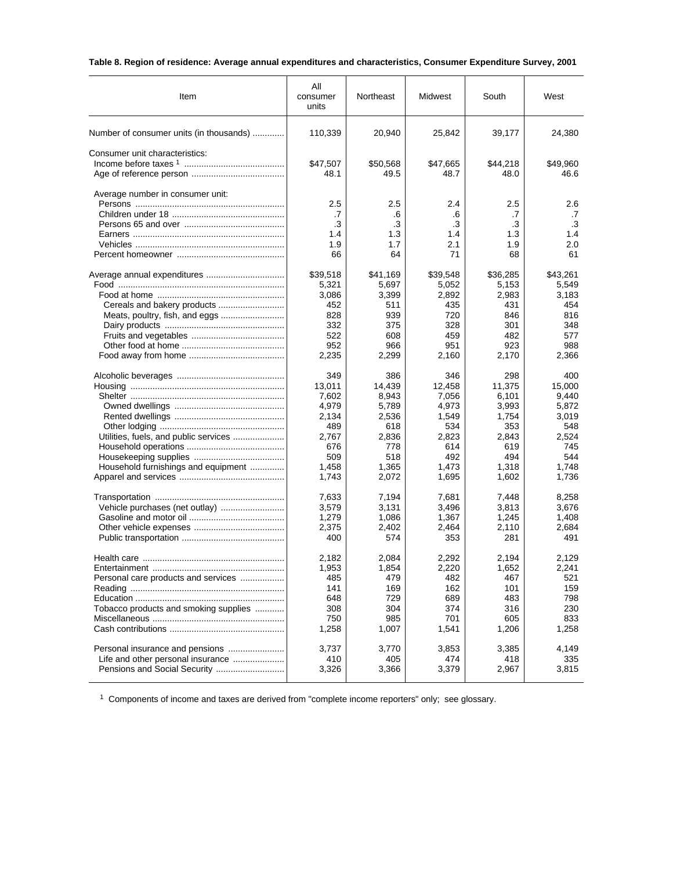# **Table 8. Region of residence: Average annual expenditures and characteristics, Consumer Expenditure Survey, 2001**

| Item                                    | Αll<br>consumer<br>units            | Northeast                           | Midwest                             | South                               | West                                |
|-----------------------------------------|-------------------------------------|-------------------------------------|-------------------------------------|-------------------------------------|-------------------------------------|
| Number of consumer units (in thousands) | 110,339                             | 20,940                              | 25,842                              | 39,177                              | 24,380                              |
| Consumer unit characteristics:          | \$47,507<br>48.1                    | \$50,568<br>49.5                    | \$47,665<br>48.7                    | \$44,218<br>48.0                    | \$49,960<br>46.6                    |
| Average number in consumer unit:        | 2.5<br>.7<br>.3<br>1.4<br>1.9<br>66 | 2.5<br>.6<br>.3<br>1.3<br>1.7<br>64 | 2.4<br>.6<br>.3<br>1.4<br>2.1<br>71 | 2.5<br>.7<br>.3<br>1.3<br>1.9<br>68 | 2.6<br>.7<br>.3<br>1.4<br>2.0<br>61 |
|                                         | \$39,518                            | \$41,169                            | \$39,548                            | \$36,285                            | \$43,261                            |
|                                         | 5,321                               | 5,697                               | 5,052                               | 5,153                               | 5,549                               |
|                                         | 3,086                               | 3,399                               | 2,892                               | 2,983                               | 3,183                               |
|                                         | 452                                 | 511                                 | 435                                 | 431                                 | 454                                 |
|                                         | 828                                 | 939                                 | 720                                 | 846                                 | 816                                 |
|                                         | 332                                 | 375                                 | 328                                 | 301                                 | 348                                 |
|                                         | 522                                 | 608                                 | 459                                 | 482                                 | 577                                 |
|                                         | 952                                 | 966                                 | 951                                 | 923                                 | 988                                 |
|                                         | 2,235                               | 2,299                               | 2,160                               | 2,170                               | 2,366                               |
|                                         | 349                                 | 386                                 | 346                                 | 298                                 | 400                                 |
|                                         | 13,011                              | 14,439                              | 12.458                              | 11,375                              | 15,000                              |
|                                         | 7,602                               | 8,943                               | 7,056                               | 6,101                               | 9,440                               |
|                                         | 4,979                               | 5,789                               | 4,973                               | 3,993                               | 5,872                               |
|                                         | 2,134                               | 2,536                               | 1,549                               | 1,754                               | 3,019                               |
|                                         | 489                                 | 618                                 | 534                                 | 353                                 | 548                                 |
| Utilities, fuels, and public services   | 2,767                               | 2,836                               | 2,823                               | 2,843                               | 2,524                               |
|                                         | 676                                 | 778                                 | 614                                 | 619                                 | 745                                 |
|                                         | 509                                 | 518                                 | 492                                 | 494                                 | 544                                 |
| Household furnishings and equipment     | 1,458                               | 1,365                               | 1,473                               | 1,318                               | 1,748                               |
|                                         | 1,743                               | 2,072                               | 1,695                               | 1,602                               | 1,736                               |
|                                         | 7,633                               | 7,194                               | 7,681                               | 7,448                               | 8,258                               |
|                                         | 3,579                               | 3,131                               | 3,496                               | 3,813                               | 3,676                               |
|                                         | 1,279                               | 1,086                               | 1,367                               | 1,245                               | 1,408                               |
|                                         | 2,375                               | 2,402                               | 2,464                               | 2,110                               | 2,684                               |
|                                         | 400                                 | 574                                 | 353                                 | 281                                 | 491                                 |
|                                         | 2,182                               | 2,084                               | 2,292                               | 2,194                               | 2,129                               |
|                                         | 1,953                               | 1,854                               | 2,220                               | 1,652                               | 2,241                               |
| Personal care products and services     | 485                                 | 479                                 | 482                                 | 467                                 | 521                                 |
|                                         | 141                                 | 169                                 | 162                                 | 101                                 | 159                                 |
|                                         | 648                                 | 729                                 | 689                                 | 483                                 | 798                                 |
| Tobacco products and smoking supplies   | 308                                 | 304                                 | 374                                 | 316                                 | 230                                 |
|                                         | 750                                 | 985                                 | 701                                 | 605                                 | 833                                 |
|                                         | 1,258                               | 1,007                               | 1,541                               | 1,206                               | 1,258                               |
| Personal insurance and pensions         | 3,737                               | 3,770                               | 3,853                               | 3,385                               | 4,149                               |
| Life and other personal insurance       | 410                                 | 405                                 | 474                                 | 418                                 | 335                                 |
|                                         | 3,326                               | 3,366                               | 3,379                               | 2,967                               | 3,815                               |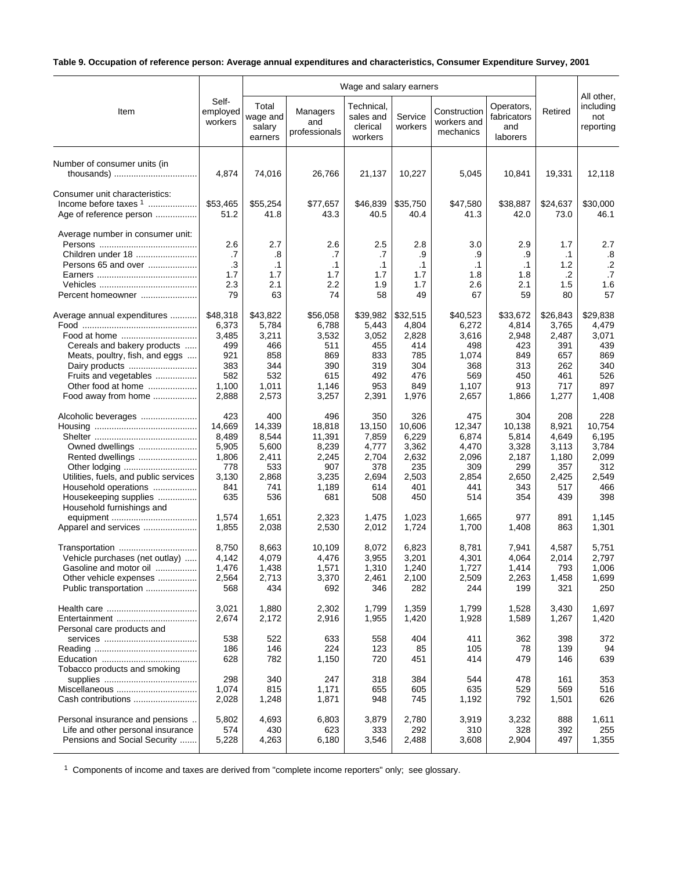# **Table 9. Occupation of reference person: Average annual expenditures and characteristics, Consumer Expenditure Survey, 2001**

| Item                                                                                                                                                                                                 | Self-<br>employed<br>workers                                             | Total<br>wage and<br>salary<br>earners                                   | Managers<br>and<br>professionals                                          | Technical,<br>sales and<br>clerical<br>workers                         | Service<br>workers                                                     | Construction<br>workers and<br>mechanics                                   | Operators,<br>fabricators<br>and<br>laborers                           | Retired                                                                | All other,<br>including<br>not<br>reporting                            |
|------------------------------------------------------------------------------------------------------------------------------------------------------------------------------------------------------|--------------------------------------------------------------------------|--------------------------------------------------------------------------|---------------------------------------------------------------------------|------------------------------------------------------------------------|------------------------------------------------------------------------|----------------------------------------------------------------------------|------------------------------------------------------------------------|------------------------------------------------------------------------|------------------------------------------------------------------------|
| Number of consumer units (in<br>thousands)                                                                                                                                                           | 4,874                                                                    | 74,016                                                                   | 26,766                                                                    | 21,137                                                                 | 10,227                                                                 | 5,045                                                                      | 10,841                                                                 | 19,331                                                                 | 12,118                                                                 |
| Consumer unit characteristics:<br>Income before taxes $1$<br>Age of reference person                                                                                                                 | \$53,465<br>51.2                                                         | \$55,254<br>41.8                                                         | \$77,657<br>43.3                                                          | \$46,839<br>40.5                                                       | \$35,750<br>40.4                                                       | \$47,580<br>41.3                                                           | \$38,887<br>42.0                                                       | \$24,637<br>73.0                                                       | \$30,000<br>46.1                                                       |
| Average number in consumer unit:<br>Children under 18<br>Persons 65 and over<br>Percent homeowner                                                                                                    | 2.6<br>.7<br>.3<br>1.7<br>2.3<br>79                                      | 2.7<br>.8<br>$\cdot$ 1<br>1.7<br>2.1<br>63                               | 2.6<br>.7<br>$\cdot$ 1<br>1.7<br>2.2<br>74                                | 2.5<br>.7<br>$\cdot$ 1<br>1.7<br>1.9<br>58                             | 2.8<br>.9<br>$\cdot$ 1<br>1.7<br>1.7<br>49                             | 3.0<br>.9<br>.1<br>1.8<br>2.6<br>67                                        | 2.9<br>.9<br>$\cdot$ 1<br>1.8<br>2.1<br>59                             | 1.7<br>$\cdot$ 1<br>$1.2$<br>$\cdot$<br>1.5<br>80                      | 2.7<br>.8<br>$.2\phantom{0}$<br>.7<br>1.6<br>57                        |
| Average annual expenditures<br>Food at home<br>Cereals and bakery products<br>Meats, poultry, fish, and eggs<br>Dairy products<br>Fruits and vegetables<br>Other food at home<br>Food away from home | \$48,318<br>6,373<br>3,485<br>499<br>921<br>383<br>582<br>1,100<br>2,888 | \$43,822<br>5,784<br>3,211<br>466<br>858<br>344<br>532<br>1,011<br>2,573 | \$56,058<br>6,788<br>3,532<br>511<br>869<br>390<br>615<br>1,146<br>3,257  | \$39,982<br>5,443<br>3,052<br>455<br>833<br>319<br>492<br>953<br>2,391 | \$32,515<br>4,804<br>2,828<br>414<br>785<br>304<br>476<br>849<br>1,976 | \$40,523<br>6,272<br>3,616<br>498<br>1,074<br>368<br>569<br>1,107<br>2,657 | \$33,672<br>4,814<br>2,948<br>423<br>849<br>313<br>450<br>913<br>1,866 | \$26,843<br>3,765<br>2,487<br>391<br>657<br>262<br>461<br>717<br>1,277 | \$29,838<br>4,479<br>3,071<br>439<br>869<br>340<br>526<br>897<br>1,408 |
| Alcoholic beverages<br>Owned dwellings<br>Rented dwellings<br>Other lodging<br>Utilities, fuels, and public services<br>Household operations<br>Housekeeping supplies<br>Household furnishings and   | 423<br>14,669<br>8,489<br>5,905<br>1,806<br>778<br>3,130<br>841<br>635   | 400<br>14,339<br>8,544<br>5,600<br>2,411<br>533<br>2,868<br>741<br>536   | 496<br>18,818<br>11,391<br>8,239<br>2,245<br>907<br>3,235<br>1,189<br>681 | 350<br>13,150<br>7,859<br>4,777<br>2,704<br>378<br>2,694<br>614<br>508 | 326<br>10,606<br>6,229<br>3,362<br>2,632<br>235<br>2,503<br>401<br>450 | 475<br>12,347<br>6,874<br>4,470<br>2,096<br>309<br>2,854<br>441<br>514     | 304<br>10,138<br>5,814<br>3,328<br>2,187<br>299<br>2,650<br>343<br>354 | 208<br>8,921<br>4,649<br>3,113<br>1,180<br>357<br>2,425<br>517<br>439  | 228<br>10,754<br>6,195<br>3,784<br>2,099<br>312<br>2,549<br>466<br>398 |
| Apparel and services                                                                                                                                                                                 | 1,574<br>1,855                                                           | 1,651<br>2,038                                                           | 2,323<br>2,530                                                            | 1,475<br>2,012                                                         | 1,023<br>1,724                                                         | 1,665<br>1,700                                                             | 977<br>1,408                                                           | 891<br>863                                                             | 1,145<br>1,301                                                         |
| Transportation<br>Vehicle purchases (net outlay)<br>Gasoline and motor oil<br>Other vehicle expenses<br>Public transportation                                                                        | 8,750<br>4,142<br>1,476<br>2,564<br>568                                  | 8,663<br>4,079<br>1,438<br>2,713<br>434                                  | 10,109<br>4,476<br>1,571<br>3,370<br>692                                  | 8,072<br>3,955<br>1,310<br>2,461<br>346                                | 6,823<br>3,201<br>1,240<br>2,100<br>282                                | 8,781<br>4,301<br>1,727<br>2,509<br>244                                    | 7,941<br>4,064<br>1,414<br>2,263<br>199                                | 4,587<br>2,014<br>793<br>1,458<br>321                                  | 5,751<br>2,797<br>1,006<br>1,699<br>250                                |
| Entertainment<br>Personal care products and                                                                                                                                                          | 3,021<br>2,674                                                           | 1,880<br>2,172                                                           | 2,302<br>2,916                                                            | 1,799<br>1,955                                                         | 1,359<br>1,420                                                         | 1,799<br>1,928                                                             | 1,528<br>1,589                                                         | 3,430<br>1,267                                                         | 1,697<br>1,420                                                         |
| Tobacco products and smoking                                                                                                                                                                         | 538<br>186<br>628                                                        | 522<br>146<br>782                                                        | 633<br>224<br>1,150                                                       | 558<br>123<br>720                                                      | 404<br>85<br>451                                                       | 411<br>105<br>414                                                          | 362<br>78<br>479                                                       | 398<br>139<br>146                                                      | 372<br>94<br>639                                                       |
| Miscellaneous<br>Cash contributions                                                                                                                                                                  | 298<br>1,074<br>2,028                                                    | 340<br>815<br>1,248                                                      | 247<br>1,171<br>1,871                                                     | 318<br>655<br>948                                                      | 384<br>605<br>745                                                      | 544<br>635<br>1,192                                                        | 478<br>529<br>792                                                      | 161<br>569<br>1,501                                                    | 353<br>516<br>626                                                      |
| Personal insurance and pensions .<br>Life and other personal insurance<br>Pensions and Social Security                                                                                               | 5,802<br>574<br>5,228                                                    | 4,693<br>430<br>4,263                                                    | 6,803<br>623<br>6,180                                                     | 3,879<br>333<br>3,546                                                  | 2,780<br>292<br>2,488                                                  | 3,919<br>310<br>3,608                                                      | 3,232<br>328<br>2,904                                                  | 888<br>392<br>497                                                      | 1,611<br>255<br>1,355                                                  |